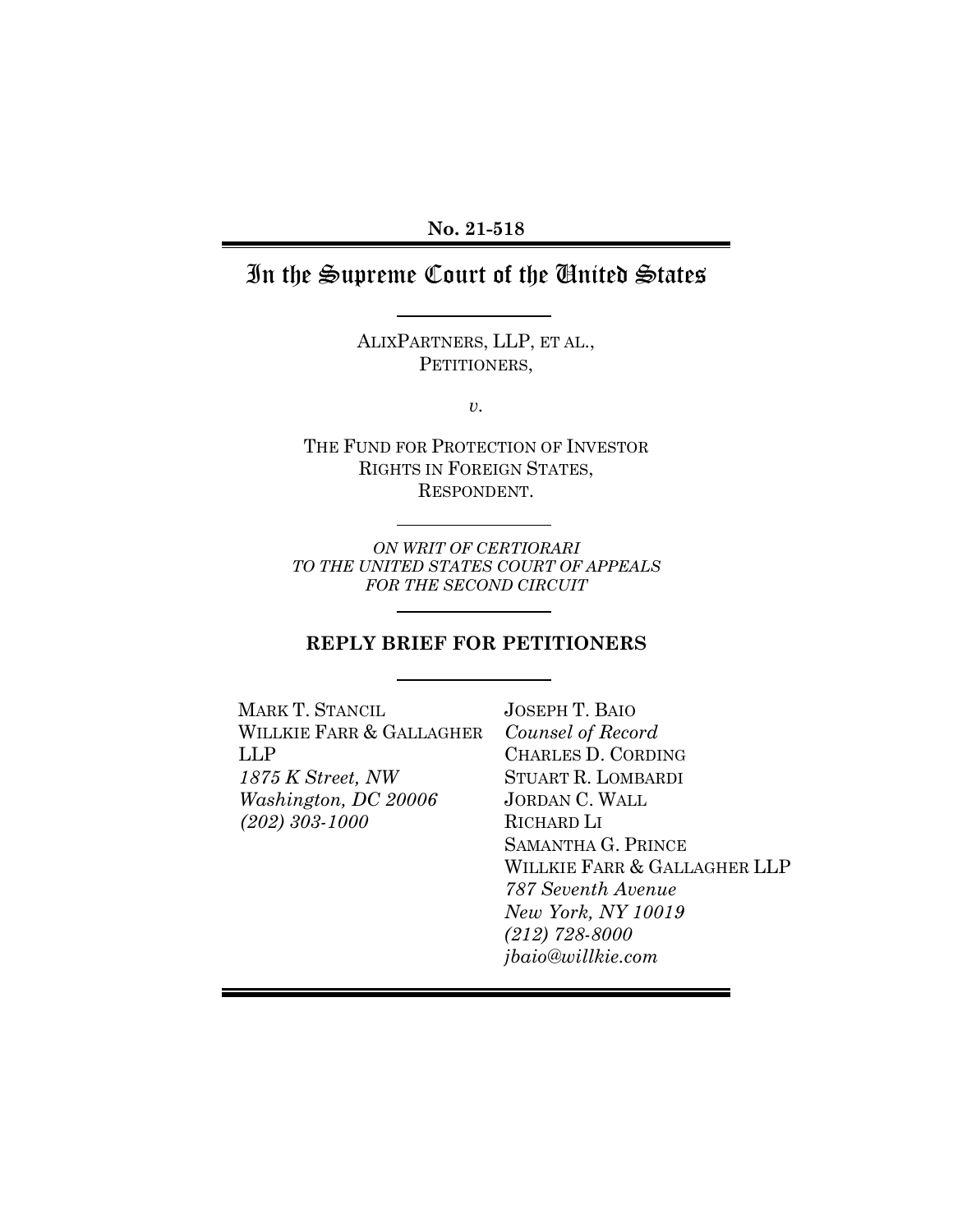# In the Supreme Court of the United States

ALIXPARTNERS, LLP, ET AL., PETITIONERS,

*v.*

THE FUND FOR PROTECTION OF INVESTOR RIGHTS IN FOREIGN STATES, RESPONDENT.

*ON WRIT OF CERTIORARI TO THE UNITED STATES COURT OF APPEALS FOR THE SECOND CIRCUIT*

### **REPLY BRIEF FOR PETITIONERS**

| <b>JOSEPH T. BAIO</b>        |
|------------------------------|
| Counsel of Record            |
| <b>CHARLES D. CORDING</b>    |
| <b>STUART R. LOMBARDI</b>    |
| <b>JORDAN C. WALL</b>        |
| RICHARD LI                   |
| <b>SAMANTHA G. PRINCE</b>    |
| WILLKIE FARR & GALLAGHER LLP |
| 787 Seventh Avenue           |
| New York, NY 10019           |
| $(212)$ 728-8000             |
| jbaio@willkie.com            |
|                              |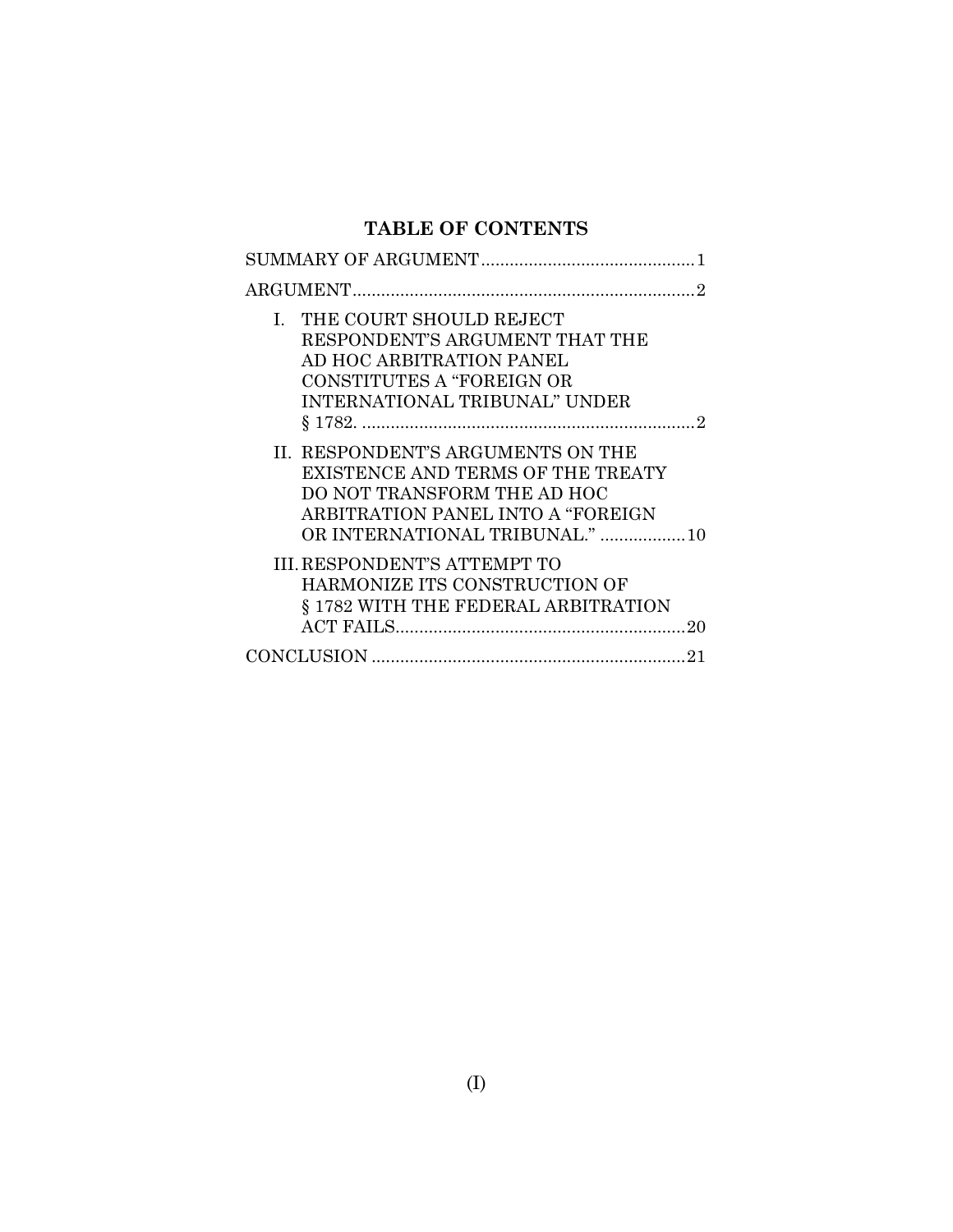# **TABLE OF CONTENTS**

| I. THE COURT SHOULD REJECT<br>RESPONDENT'S ARGUMENT THAT THE<br>AD HOC ARBITRATION PANEL<br>CONSTITUTES A "FOREIGN OR<br><b>INTERNATIONAL TRIBUNAL" UNDER</b>                 |  |  |  |  |
|-------------------------------------------------------------------------------------------------------------------------------------------------------------------------------|--|--|--|--|
| II. RESPONDENT'S ARGUMENTS ON THE<br>EXISTENCE AND TERMS OF THE TREATY<br>DO NOT TRANSFORM THE AD HOC<br>ARBITRATION PANEL INTO A "FOREIGN<br>OR INTERNATIONAL TRIBUNAL."  10 |  |  |  |  |
| <b>III. RESPONDENT'S ATTEMPT TO</b><br>HARMONIZE ITS CONSTRUCTION OF<br>§ 1782 WITH THE FEDERAL ARBITRATION<br>20                                                             |  |  |  |  |
|                                                                                                                                                                               |  |  |  |  |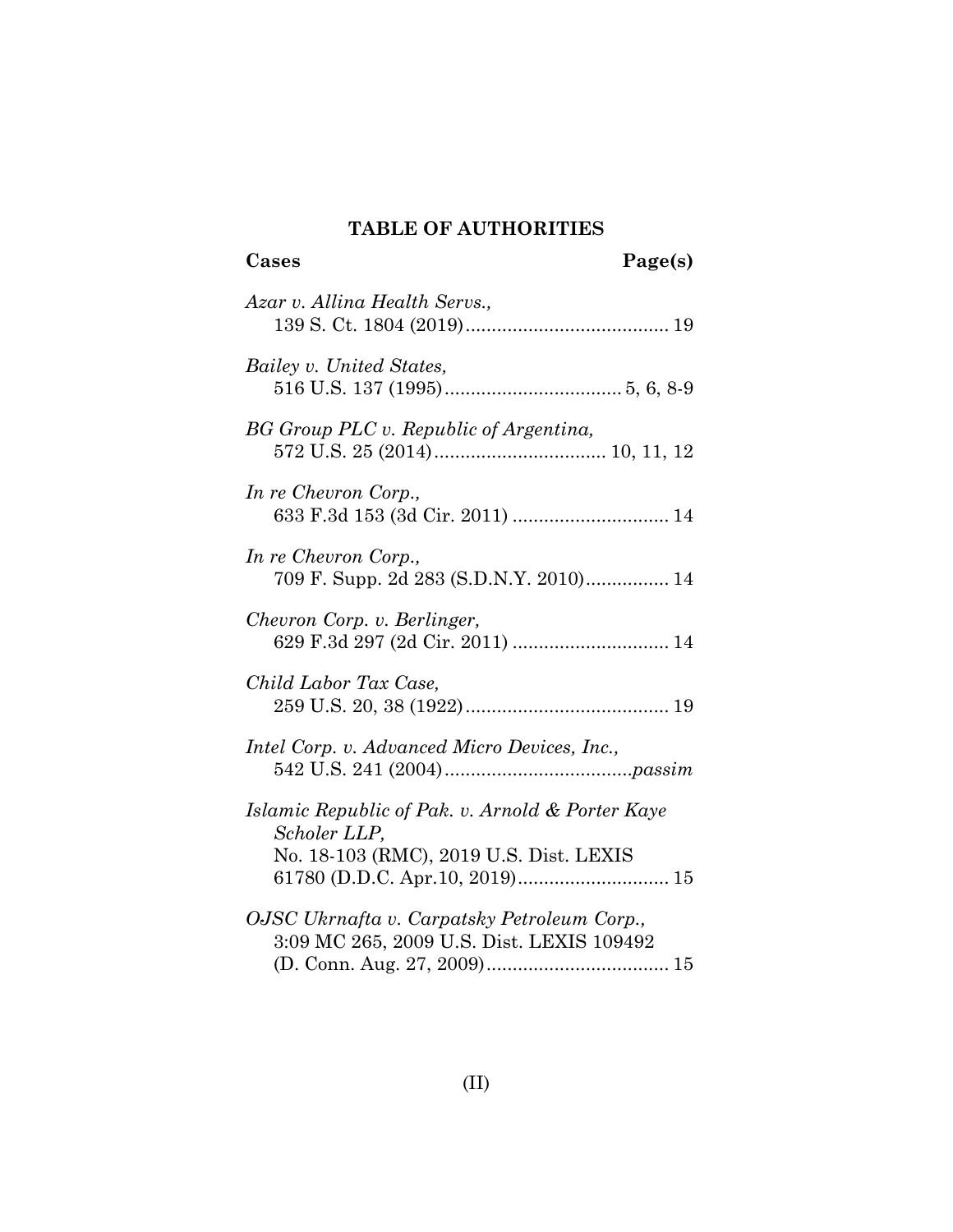#### **TABLE OF AUTHORITIES**

# **Cases Page(s)** *Azar v. Allina Health Servs.,* 139 S. Ct. 1804 (2019)....................................... 19 *Bailey v. United States,* 516 U.S. 137 (1995).................................. 5, [6,](#page-10-0) 8[-9](#page-13-0) *BG Group PLC v. Republic of Argentina,* 572 U.S. 25 (2014)................................. [10,](#page-16-0) [11,](#page-16-1) [12](#page-17-0) *In re Chevron Corp.,* 633 F.3d 153 (3d Cir. 2011) .............................. [14](#page-19-0) *In re Chevron Corp.,* 709 F. Supp. 2d 283 (S.D.N.Y. 2010)................ [14](#page-19-1) *Chevron Corp. v. Berlinger,* 629 F.3d 297 (2d Cir. 2011) .............................. [14](#page-19-2) *Child Labor Tax Case,*  259 U.S. 20, 38 (1922)....................................... 19 *Intel Corp. v. Advanced Micro Devices, Inc.,* 542 U.S. 241 (2004)....................................*[passim](#page-7-2) Islamic Republic of Pak. v. Arnold & Porter Kaye Scholer LLP,* No. 18-103 (RMC), 2019 U.S. Dist. LEXIS 61780 (D.D.C. Apr.10, 2019)............................. [15](#page-20-0) *OJSC Ukrnafta v. Carpatsky Petroleum Corp.,* 3:09 MC 265, 2009 U.S. Dist. LEXIS 109492

(D. Conn. Aug. 27, 2009)................................... [15](#page-20-1)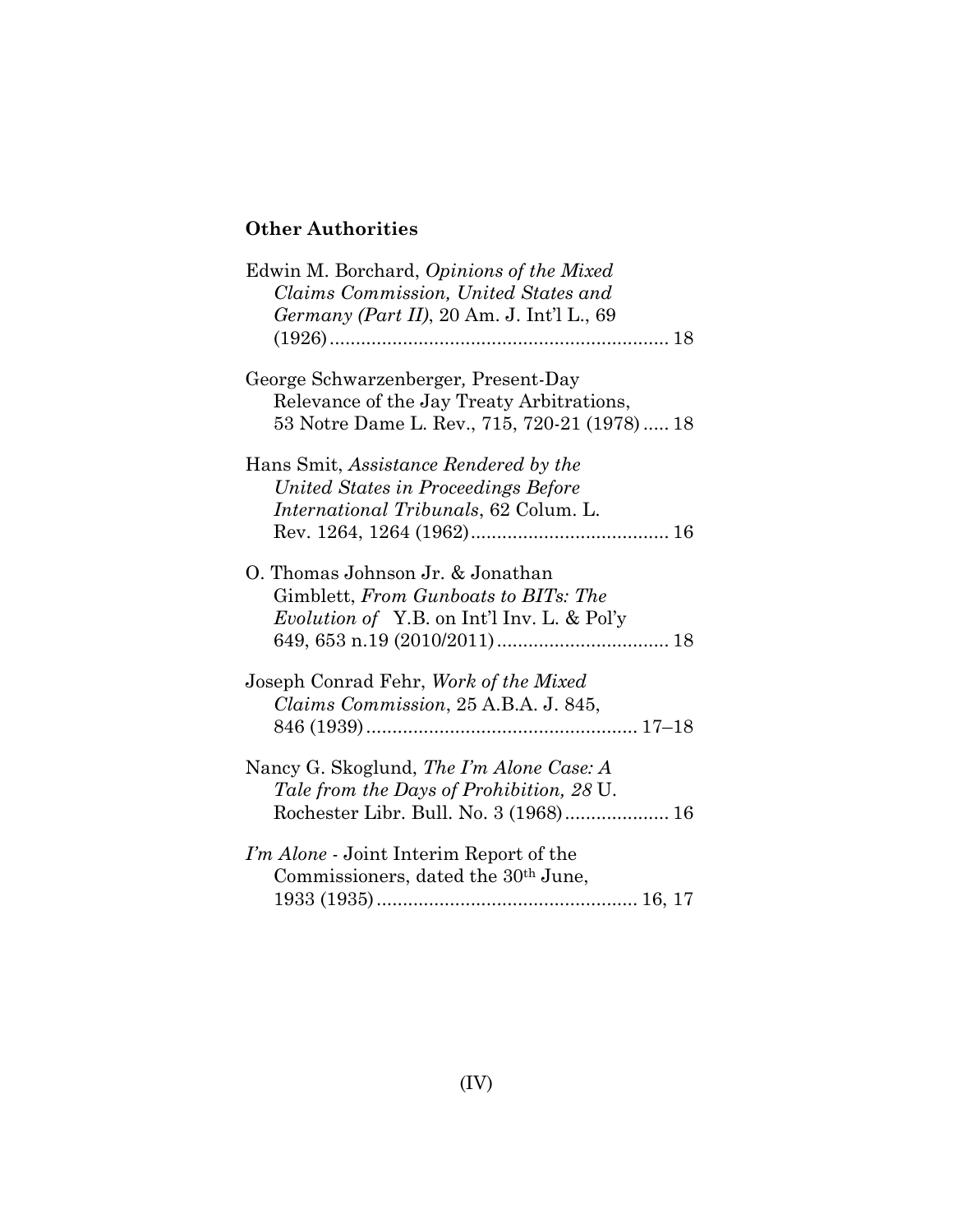# **Other Authorities**

| Edwin M. Borchard, Opinions of the Mixed<br>Claims Commission, United States and<br>Germany (Part II), 20 Am. J. Int'l L., 69    |  |  |
|----------------------------------------------------------------------------------------------------------------------------------|--|--|
|                                                                                                                                  |  |  |
| George Schwarzenberger, Present-Day<br>Relevance of the Jay Treaty Arbitrations,<br>53 Notre Dame L. Rev., 715, 720-21 (1978) 18 |  |  |
| Hans Smit, Assistance Rendered by the                                                                                            |  |  |
| United States in Proceedings Before                                                                                              |  |  |
| International Tribunals, 62 Colum. L.                                                                                            |  |  |
|                                                                                                                                  |  |  |
| O. Thomas Johnson Jr. & Jonathan<br>Gimblett, From Gunboats to BITs: The                                                         |  |  |
| Evolution of Y.B. on Int'l Inv. L. & Pol'y                                                                                       |  |  |
|                                                                                                                                  |  |  |
| Joseph Conrad Fehr, Work of the Mixed                                                                                            |  |  |
| Claims Commission, 25 A.B.A. J. 845,                                                                                             |  |  |
|                                                                                                                                  |  |  |
| Nancy G. Skoglund, <i>The I'm Alone Case: A</i><br>Tale from the Days of Prohibition, 28 U.                                      |  |  |
|                                                                                                                                  |  |  |
| I'm Alone - Joint Interim Report of the                                                                                          |  |  |
| Commissioners, dated the 30 <sup>th</sup> June,                                                                                  |  |  |
|                                                                                                                                  |  |  |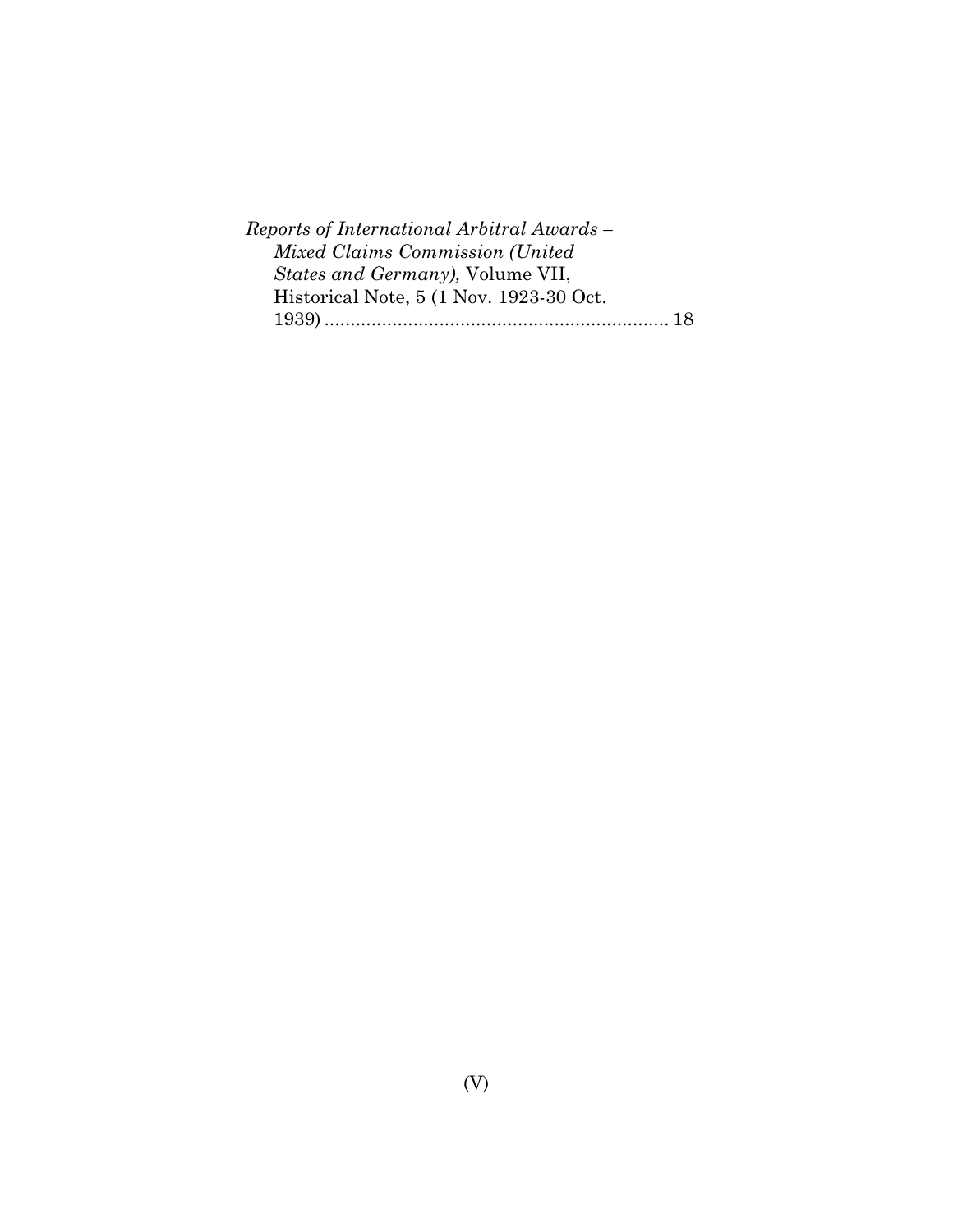| Reports of International Arbitral Awards - |  |
|--------------------------------------------|--|
| Mixed Claims Commission (United            |  |
| <i>States and Germany</i> ), Volume VII,   |  |
| Historical Note, 5 (1 Nov. 1923-30 Oct.    |  |
|                                            |  |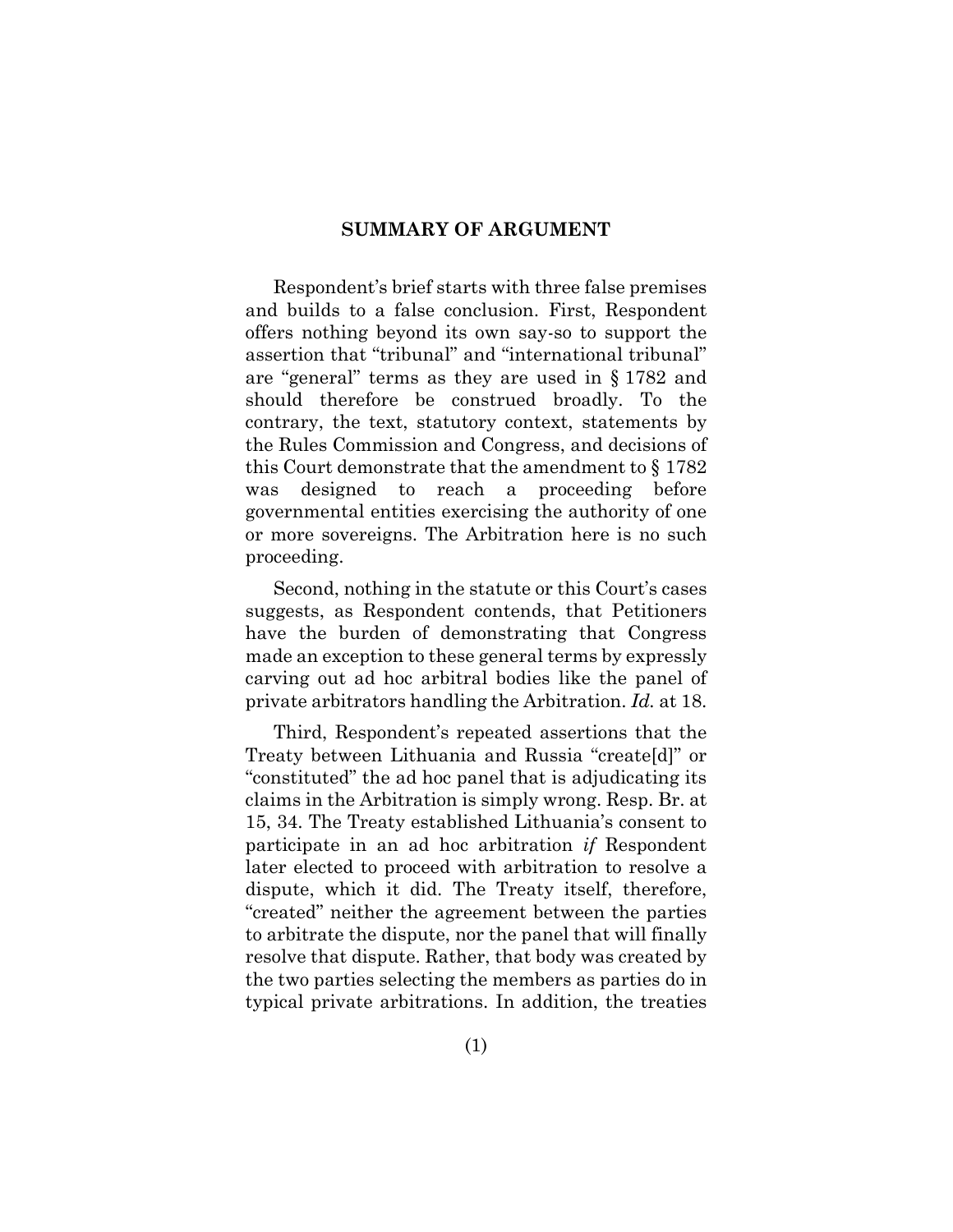#### **SUMMARY OF ARGUMENT**

<span id="page-6-0"></span>Respondent's brief starts with three false premises and builds to a false conclusion. First, Respondent offers nothing beyond its own say-so to support the assertion that "tribunal" and "international tribunal" are "general" terms as they are used in § 1782 and should therefore be construed broadly. To the contrary, the text, statutory context, statements by the Rules Commission and Congress, and decisions of this Court demonstrate that the amendment to § 1782 was designed to reach a proceeding before governmental entities exercising the authority of one or more sovereigns. The Arbitration here is no such proceeding.

Second, nothing in the statute or this Court's cases suggests, as Respondent contends, that Petitioners have the burden of demonstrating that Congress made an exception to these general terms by expressly carving out ad hoc arbitral bodies like the panel of private arbitrators handling the Arbitration. *Id.* at 18.

Third, Respondent's repeated assertions that the Treaty between Lithuania and Russia "create[d]" or "constituted" the ad hoc panel that is adjudicating its claims in the Arbitration is simply wrong. Resp. Br. at 15, 34. The Treaty established Lithuania's consent to participate in an ad hoc arbitration *if* Respondent later elected to proceed with arbitration to resolve a dispute, which it did. The Treaty itself, therefore, "created" neither the agreement between the parties to arbitrate the dispute, nor the panel that will finally resolve that dispute. Rather, that body was created by the two parties selecting the members as parties do in typical private arbitrations. In addition, the treaties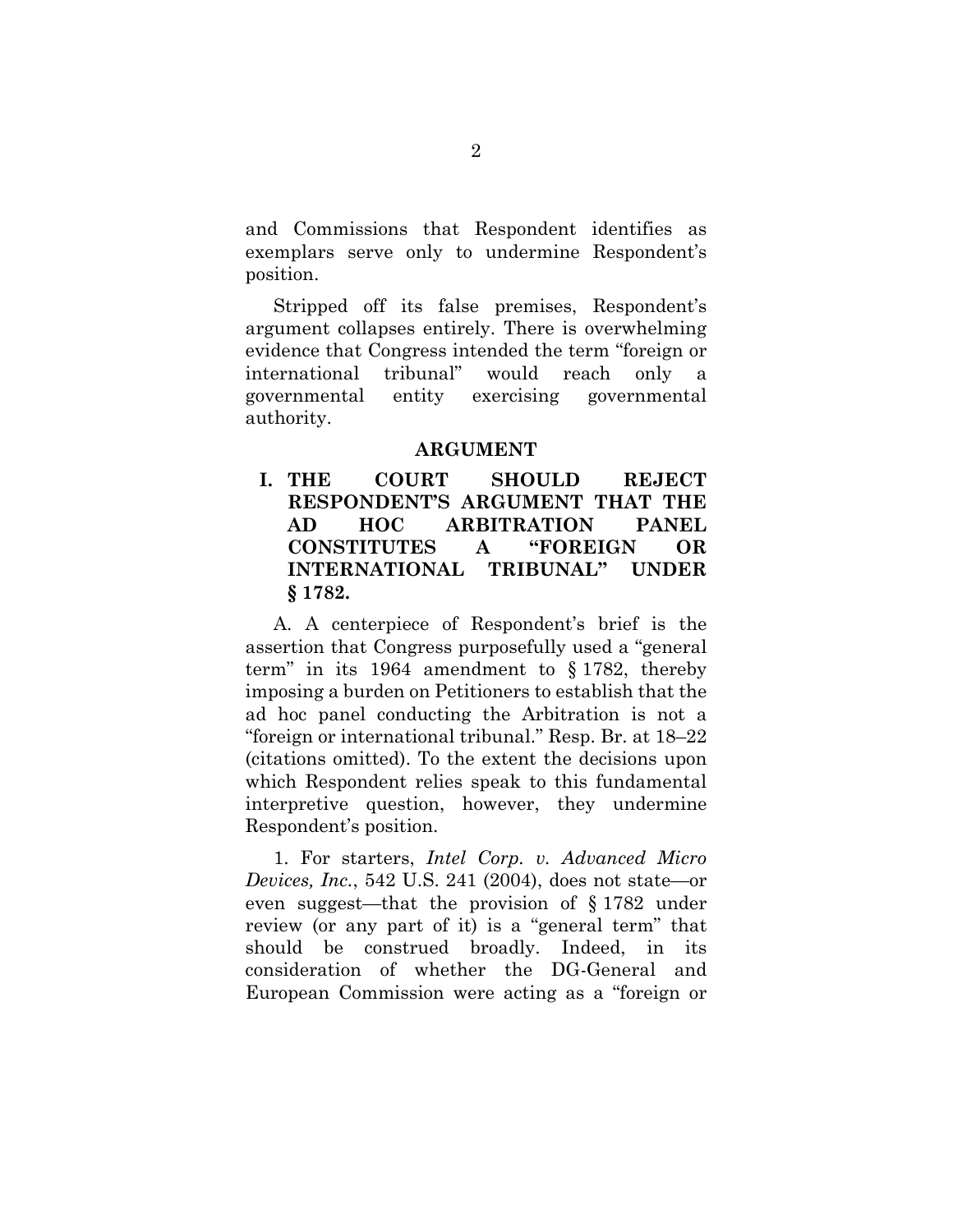and Commissions that Respondent identifies as exemplars serve only to undermine Respondent's position.

Stripped off its false premises, Respondent's argument collapses entirely. There is overwhelming evidence that Congress intended the term "foreign or international tribunal" would reach only a governmental entity exercising governmental authority.

#### **ARGUMENT**

<span id="page-7-1"></span><span id="page-7-0"></span>**I. THE COURT SHOULD REJECT RESPONDENT'S ARGUMENT THAT THE AD HOC ARBITRATION PANEL CONSTITUTES A "FOREIGN OR INTERNATIONAL TRIBUNAL" UNDER § 1782.**

A. A centerpiece of Respondent's brief is the assertion that Congress purposefully used a "general term" in its 1964 amendment to § 1782, thereby imposing a burden on Petitioners to establish that the ad hoc panel conducting the Arbitration is not a "foreign or international tribunal." Resp. Br. at 18–22 (citations omitted). To the extent the decisions upon which Respondent relies speak to this fundamental interpretive question, however, they undermine Respondent's position.

<span id="page-7-2"></span>1. For starters, *Intel Corp. v. Advanced Micro Devices, Inc.*, 542 U.S. 241 (2004), does not state—or even suggest—that the provision of § 1782 under review (or any part of it) is a "general term" that should be construed broadly. Indeed, in its consideration of whether the DG-General and European Commission were acting as a "foreign or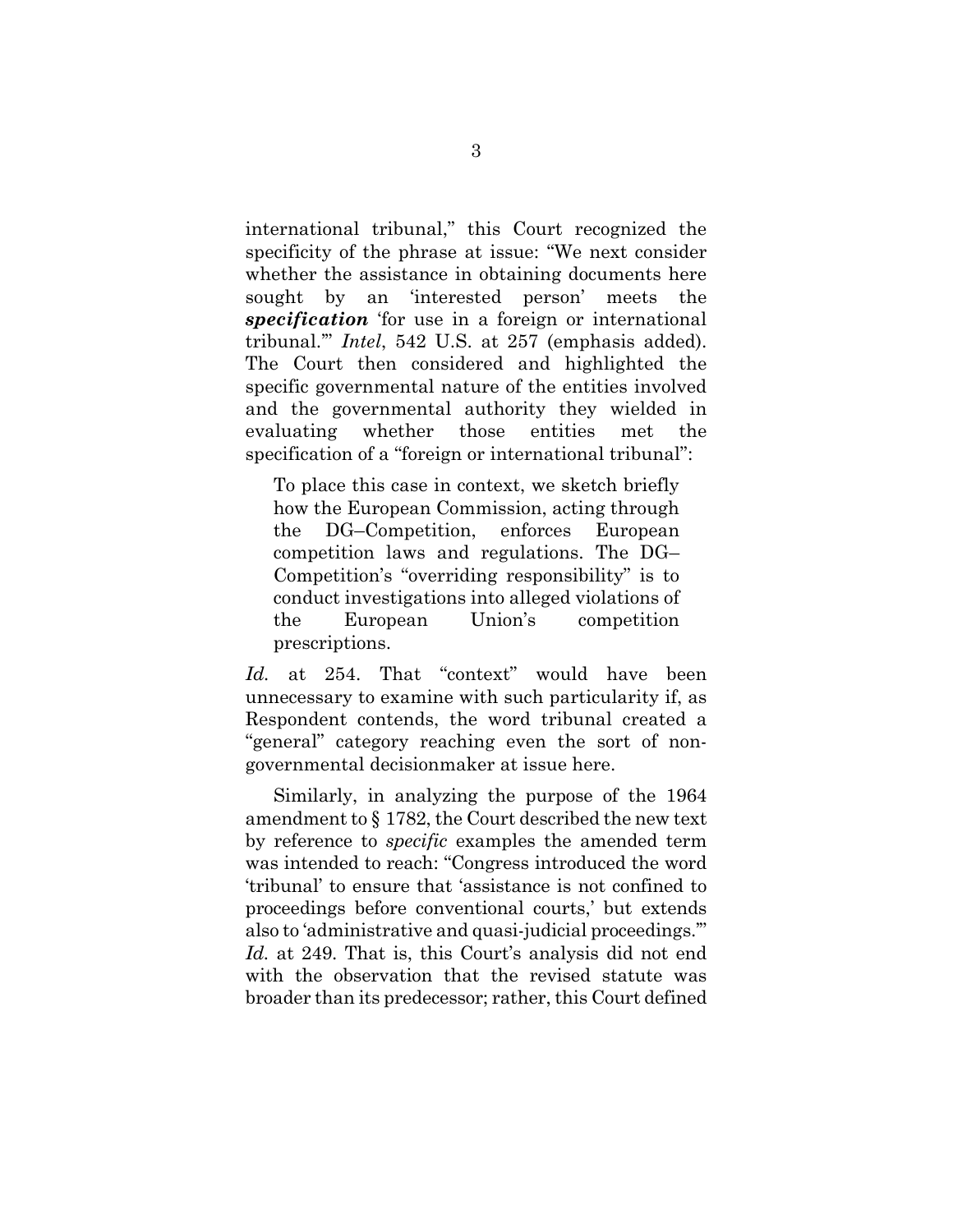international tribunal," this Court recognized the specificity of the phrase at issue: "We next consider whether the assistance in obtaining documents here sought by an 'interested person' meets the *specification* 'for use in a foreign or international tribunal.'" *Intel*, 542 U.S. at 257 (emphasis added). The Court then considered and highlighted the specific governmental nature of the entities involved and the governmental authority they wielded in evaluating whether those entities met the specification of a "foreign or international tribunal":

To place this case in context, we sketch briefly how the European Commission, acting through the DG–Competition, enforces European competition laws and regulations. The DG– Competition's "overriding responsibility" is to conduct investigations into alleged violations of the European Union's competition prescriptions.

Id. at 254. That "context" would have been unnecessary to examine with such particularity if, as Respondent contends, the word tribunal created a "general" category reaching even the sort of nongovernmental decisionmaker at issue here.

Similarly, in analyzing the purpose of the 1964 amendment to § 1782, the Court described the new text by reference to *specific* examples the amended term was intended to reach: "Congress introduced the word 'tribunal' to ensure that 'assistance is not confined to proceedings before conventional courts,' but extends also to 'administrative and quasi-judicial proceedings.'" Id. at 249. That is, this Court's analysis did not end with the observation that the revised statute was broader than its predecessor; rather, this Court defined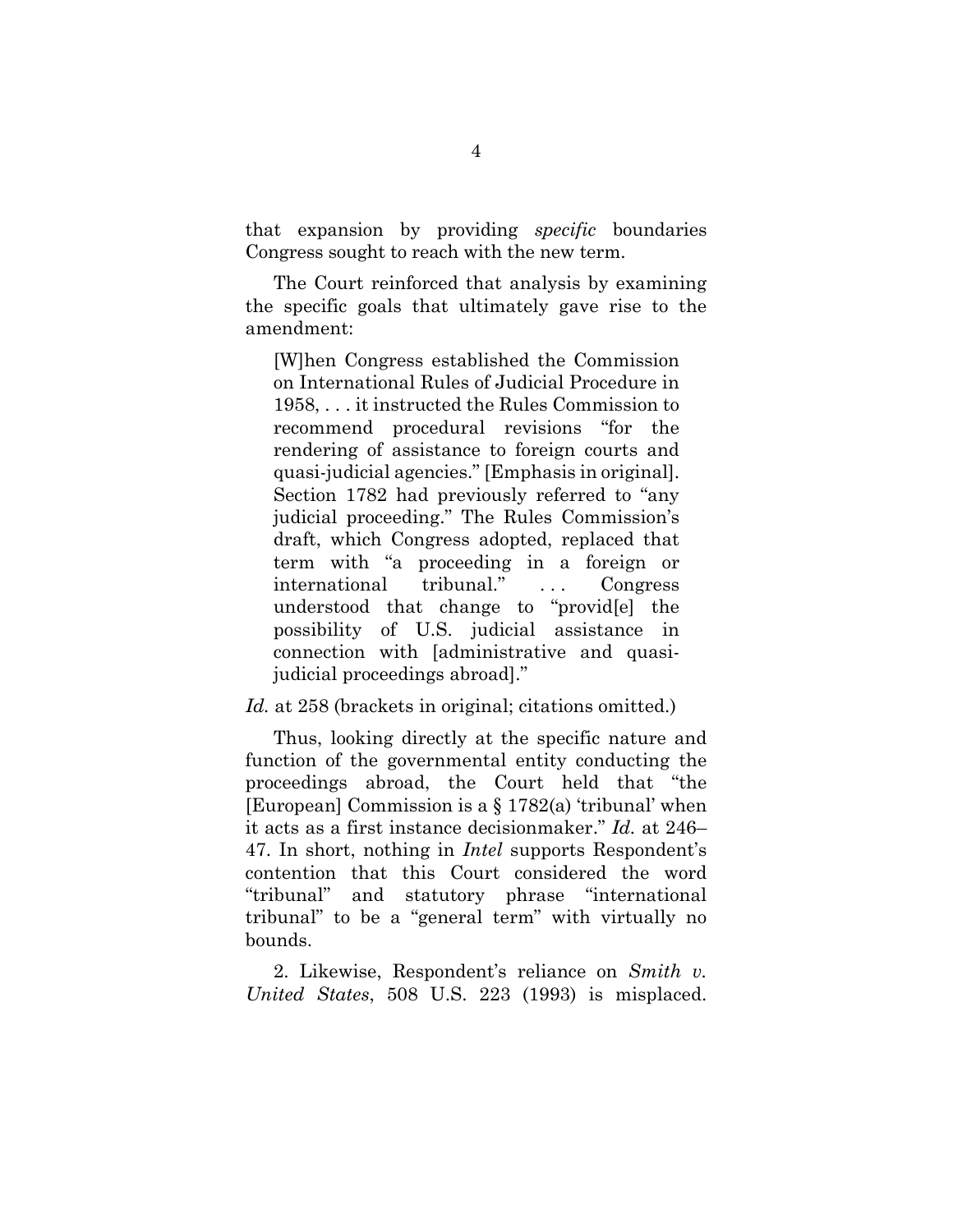that expansion by providing *specific* boundaries Congress sought to reach with the new term.

The Court reinforced that analysis by examining the specific goals that ultimately gave rise to the amendment:

[W]hen Congress established the Commission on International Rules of Judicial Procedure in 1958, . . . it instructed the Rules Commission to recommend procedural revisions "for the rendering of assistance to foreign courts and quasi-judicial agencies." [Emphasis in original]. Section 1782 had previously referred to "any judicial proceeding." The Rules Commission's draft, which Congress adopted, replaced that term with "a proceeding in a foreign or international tribunal." . . . Congress understood that change to "provid[e] the possibility of U.S. judicial assistance in connection with [administrative and quasijudicial proceedings abroad]."

#### Id. at 258 (brackets in original; citations omitted.)

Thus, looking directly at the specific nature and function of the governmental entity conducting the proceedings abroad, the Court held that "the [European] Commission is a § 1782(a) 'tribunal' when it acts as a first instance decisionmaker." *Id.* at 246– 47. In short, nothing in *Intel* supports Respondent's contention that this Court considered the word "tribunal" and statutory phrase "international tribunal" to be a "general term" with virtually no bounds.

<span id="page-9-0"></span>2. Likewise, Respondent's reliance on *Smith v. United States*, 508 U.S. 223 (1993) is misplaced.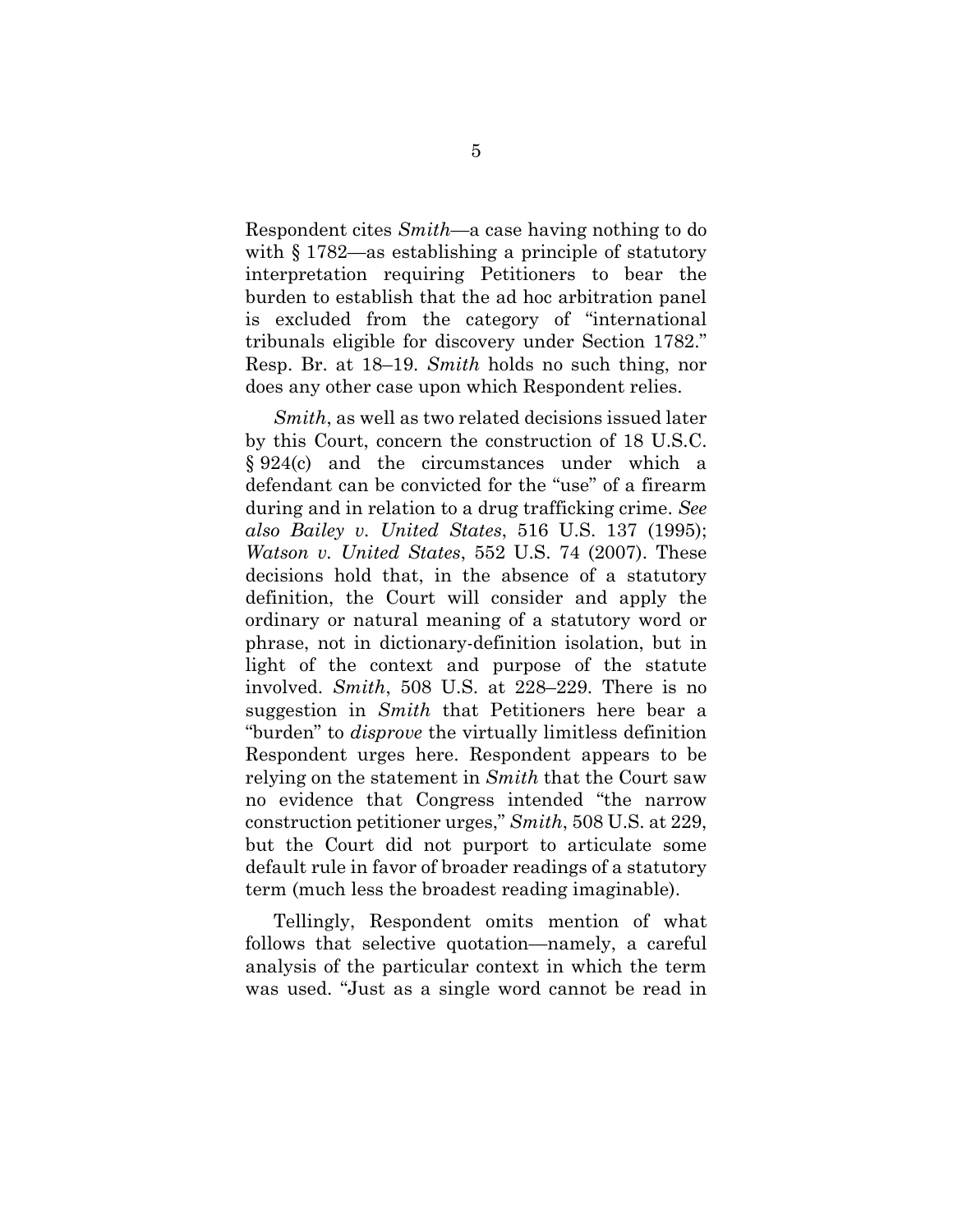Respondent cites *Smith—*a case having nothing to do with  $\S 1782$ —as establishing a principle of statutory interpretation requiring Petitioners to bear the burden to establish that the ad hoc arbitration panel is excluded from the category of "international tribunals eligible for discovery under Section 1782." Resp. Br. at 18–19. *Smith* holds no such thing, nor does any other case upon which Respondent relies.

<span id="page-10-2"></span><span id="page-10-0"></span>*Smith*, as well as two related decisions issued later by this Court, concern the construction of 18 U.S.C. § 924(c) and the circumstances under which a defendant can be convicted for the "use" of a firearm during and in relation to a drug trafficking crime. *See also Bailey v. United States*, 516 U.S. 137 (1995); *Watson v. United States*, 552 U.S. 74 (2007). These decisions hold that, in the absence of a statutory definition, the Court will consider and apply the ordinary or natural meaning of a statutory word or phrase, not in dictionary-definition isolation, but in light of the context and purpose of the statute involved. *Smith*, 508 U.S. at 228–229. There is no suggestion in *Smith* that Petitioners here bear a "burden" to *disprove* the virtually limitless definition Respondent urges here. Respondent appears to be relying on the statement in *Smith* that the Court saw no evidence that Congress intended "the narrow construction petitioner urges," *Smith*, 508 U.S. at 229, but the Court did not purport to articulate some default rule in favor of broader readings of a statutory term (much less the broadest reading imaginable).

<span id="page-10-1"></span>Tellingly, Respondent omits mention of what follows that selective quotation—namely, a careful analysis of the particular context in which the term was used. "Just as a single word cannot be read in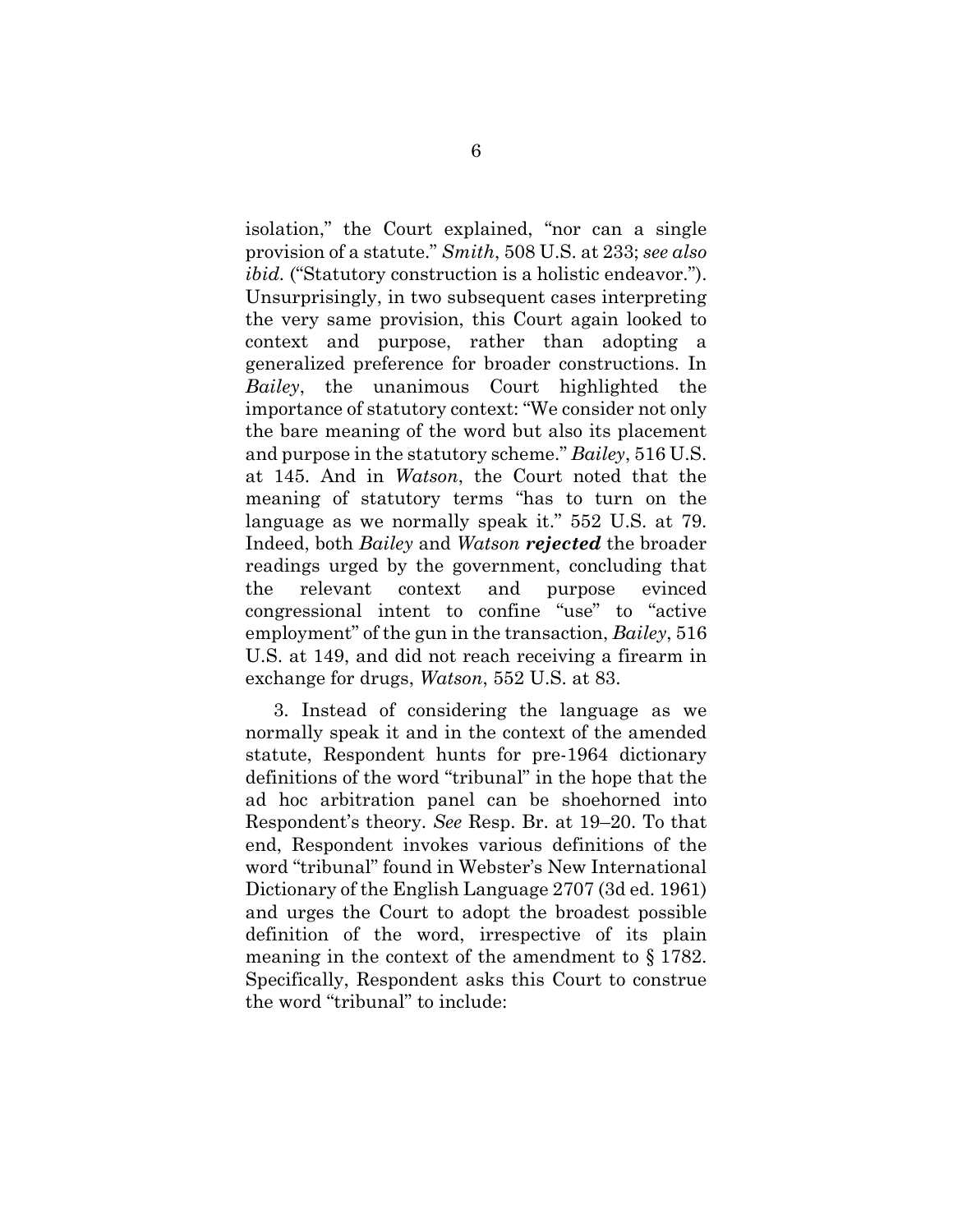isolation," the Court explained, "nor can a single provision of a statute." *Smith*, 508 U.S. at 233; *see also ibid.* ("Statutory construction is a holistic endeavor."). Unsurprisingly, in two subsequent cases interpreting the very same provision, this Court again looked to context and purpose, rather than adopting a generalized preference for broader constructions. In *Bailey*, the unanimous Court highlighted the importance of statutory context: "We consider not only the bare meaning of the word but also its placement and purpose in the statutory scheme." *Bailey*, 516 U.S. at 145. And in *Watson*, the Court noted that the meaning of statutory terms "has to turn on the language as we normally speak it." 552 U.S. at 79. Indeed, both *Bailey* and *Watson rejected* the broader readings urged by the government, concluding that the relevant context and purpose evinced congressional intent to confine "use" to "active employment" of the gun in the transaction, *Bailey*, 516 U.S. at 149, and did not reach receiving a firearm in exchange for drugs, *Watson*, 552 U.S. at 83.

3. Instead of considering the language as we normally speak it and in the context of the amended statute, Respondent hunts for pre-1964 dictionary definitions of the word "tribunal" in the hope that the ad hoc arbitration panel can be shoehorned into Respondent's theory. *See* Resp. Br. at 19–20. To that end, Respondent invokes various definitions of the word "tribunal" found in Webster's New International Dictionary of the English Language 2707 (3d ed. 1961) and urges the Court to adopt the broadest possible definition of the word, irrespective of its plain meaning in the context of the amendment to § 1782. Specifically, Respondent asks this Court to construe the word "tribunal" to include: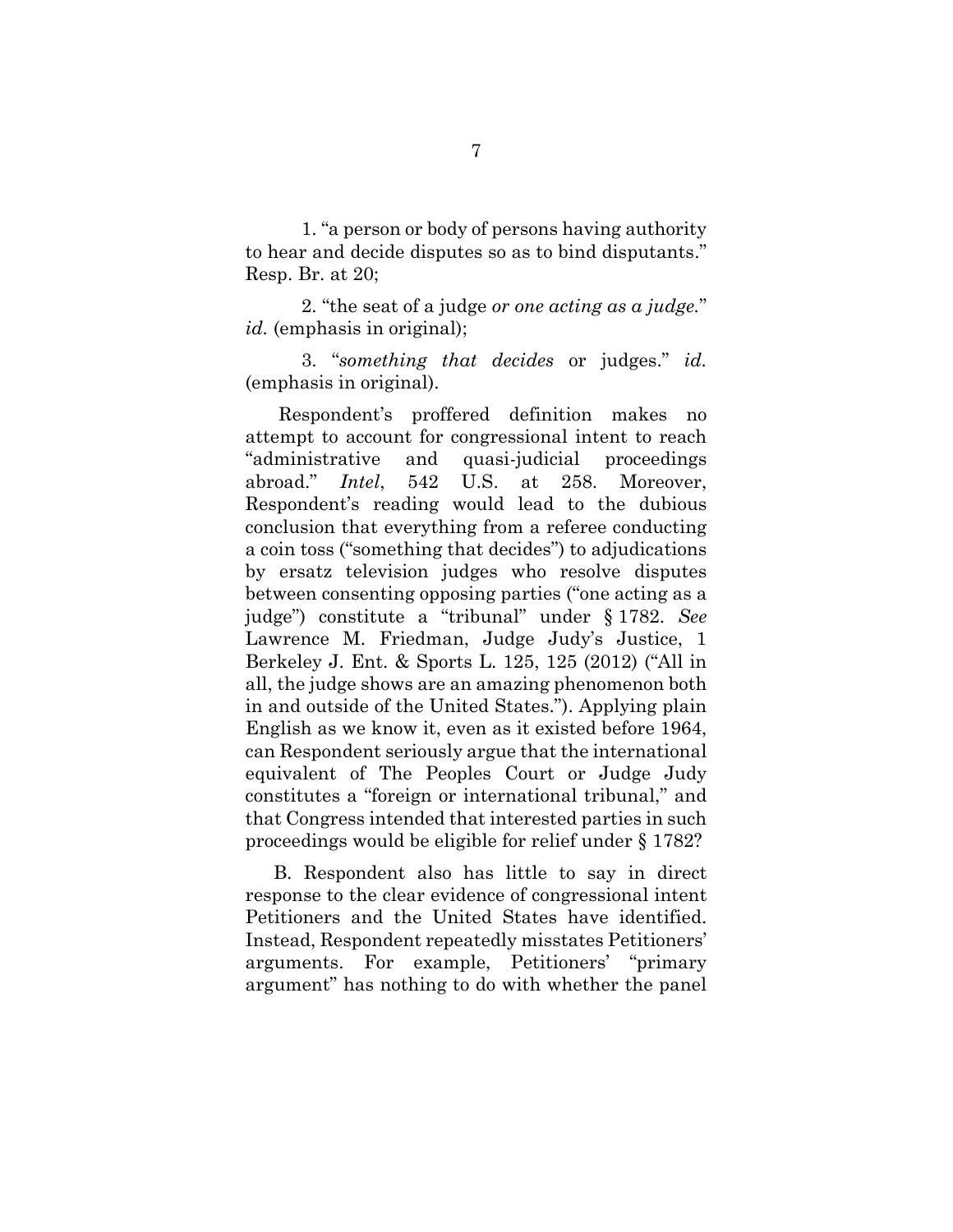1. "a person or body of persons having authority to hear and decide disputes so as to bind disputants." Resp. Br. at 20;

2. "the seat of a judge *or one acting as a judge.*" *id.* (emphasis in original);

3. "*something that decides* or judges." *id.* (emphasis in original).

Respondent's proffered definition makes no attempt to account for congressional intent to reach "administrative and quasi-judicial proceedings abroad." *Intel*, 542 U.S. at 258. Moreover, Respondent's reading would lead to the dubious conclusion that everything from a referee conducting a coin toss ("something that decides") to adjudications by ersatz television judges who resolve disputes between consenting opposing parties ("one acting as a judge") constitute a "tribunal" under § 1782. *See* Lawrence M. Friedman, Judge Judy's Justice, 1 Berkeley J. Ent. & Sports L. 125, 125 (2012) ("All in all, the judge shows are an amazing phenomenon both in and outside of the United States."). Applying plain English as we know it, even as it existed before 1964, can Respondent seriously argue that the international equivalent of The Peoples Court or Judge Judy constitutes a "foreign or international tribunal," and that Congress intended that interested parties in such proceedings would be eligible for relief under § 1782?

B. Respondent also has little to say in direct response to the clear evidence of congressional intent Petitioners and the United States have identified. Instead, Respondent repeatedly misstates Petitioners' arguments. For example, Petitioners' "primary argument" has nothing to do with whether the panel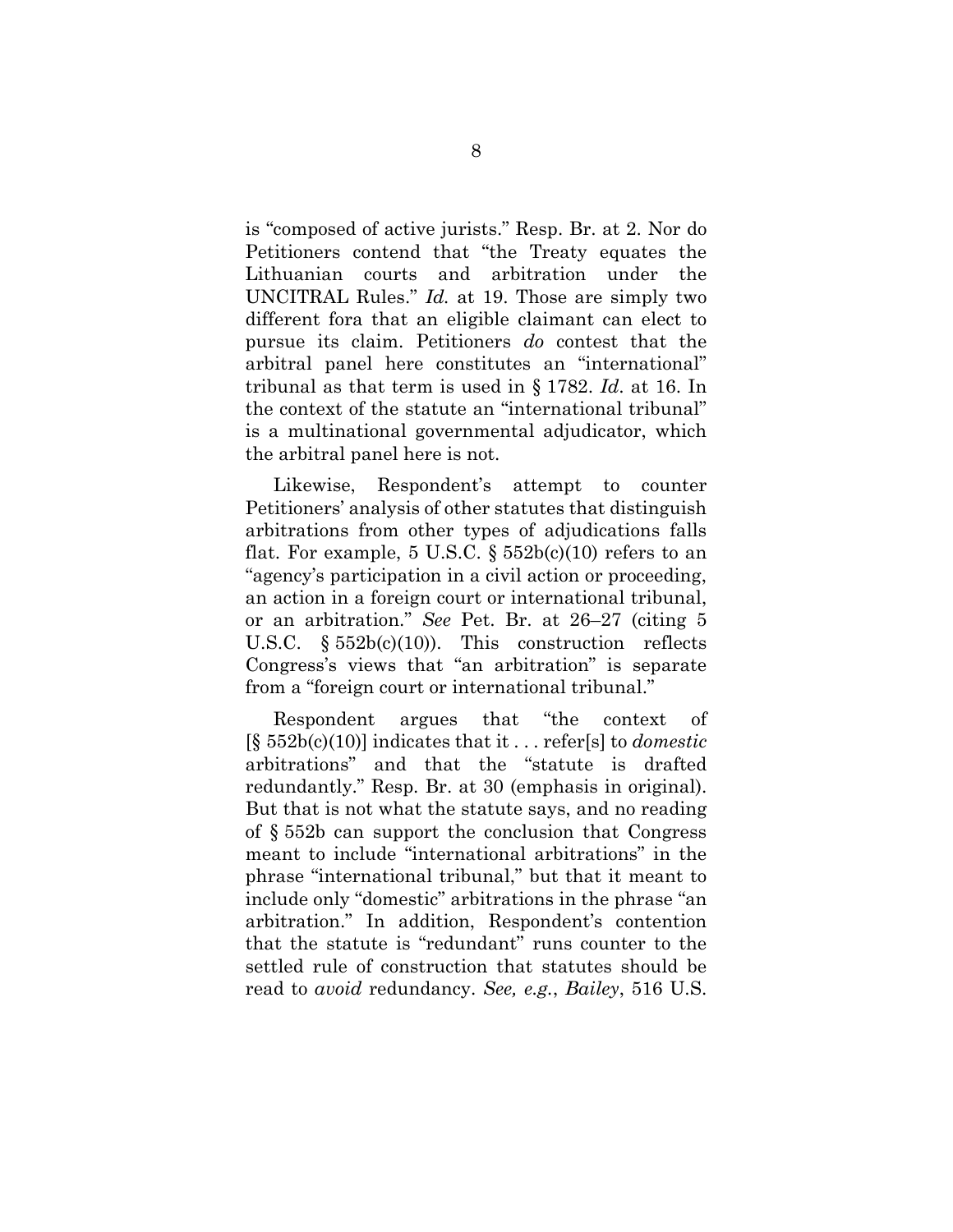is "composed of active jurists." Resp. Br. at 2. Nor do Petitioners contend that "the Treaty equates the Lithuanian courts and arbitration under the UNCITRAL Rules." *Id.* at 19. Those are simply two different fora that an eligible claimant can elect to pursue its claim. Petitioners *do* contest that the arbitral panel here constitutes an "international" tribunal as that term is used in § 1782. *Id*. at 16. In the context of the statute an "international tribunal" is a multinational governmental adjudicator, which the arbitral panel here is not.

Likewise, Respondent's attempt to counter Petitioners' analysis of other statutes that distinguish arbitrations from other types of adjudications falls flat. For example, 5 U.S.C.  $\S 552b(c)(10)$  refers to an "agency's participation in a civil action or proceeding, an action in a foreign court or international tribunal, or an arbitration." *See* Pet. Br. at 26–27 (citing 5 U.S.C.  $\$552b(c)(10)$ . This construction reflects Congress's views that "an arbitration" is separate from a "foreign court or international tribunal."

<span id="page-13-0"></span>Respondent argues that "the context of [§ 552b(c)(10)] indicates that it . . . refer[s] to *domestic*  arbitrations" and that the "statute is drafted redundantly." Resp. Br. at 30 (emphasis in original). But that is not what the statute says, and no reading of § 552b can support the conclusion that Congress meant to include "international arbitrations" in the phrase "international tribunal," but that it meant to include only "domestic" arbitrations in the phrase "an arbitration." In addition, Respondent's contention that the statute is "redundant" runs counter to the settled rule of construction that statutes should be read to *avoid* redundancy. *See, e.g.*, *Bailey*, 516 U.S.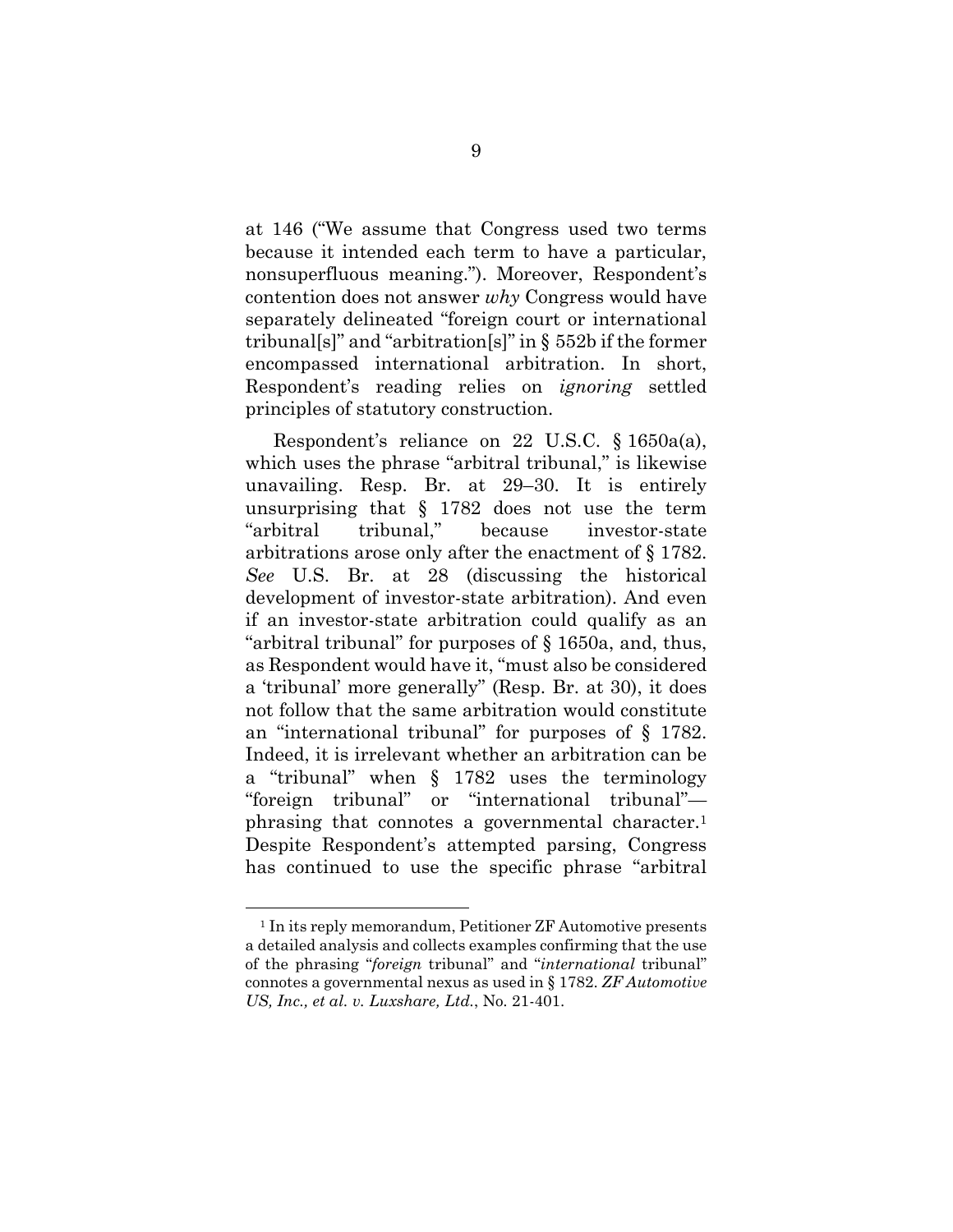at 146 ("We assume that Congress used two terms because it intended each term to have a particular, nonsuperfluous meaning."). Moreover, Respondent's contention does not answer *why* Congress would have separately delineated "foreign court or international tribunal[s]" and "arbitration[s]" in § 552b if the former encompassed international arbitration. In short, Respondent's reading relies on *ignoring* settled principles of statutory construction.

Respondent's reliance on 22 U.S.C. § 1650a(a), which uses the phrase "arbitral tribunal," is likewise unavailing. Resp. Br. at 29–30. It is entirely unsurprising that § 1782 does not use the term "arbitral tribunal," because investor-state arbitrations arose only after the enactment of § 1782. *See* U.S. Br. at 28 (discussing the historical development of investor-state arbitration). And even if an investor-state arbitration could qualify as an "arbitral tribunal" for purposes of § 1650a, and, thus, as Respondent would have it, "must also be considered a 'tribunal' more generally" (Resp. Br. at 30), it does not follow that the same arbitration would constitute an "international tribunal" for purposes of § 1782. Indeed, it is irrelevant whether an arbitration can be a "tribunal" when § 1782 uses the terminology "foreign tribunal" or "international tribunal" phrasing that connotes a governmental character. 1 Despite Respondent's attempted parsing, Congress has continued to use the specific phrase "arbitral

<sup>1</sup> In its reply memorandum, Petitioner ZF Automotive presents a detailed analysis and collects examples confirming that the use of the phrasing "*foreign* tribunal" and "*international* tribunal" connotes a governmental nexus as used in § 1782. *ZF Automotive US, Inc., et al. v. Luxshare, Ltd.*, No. 21-401.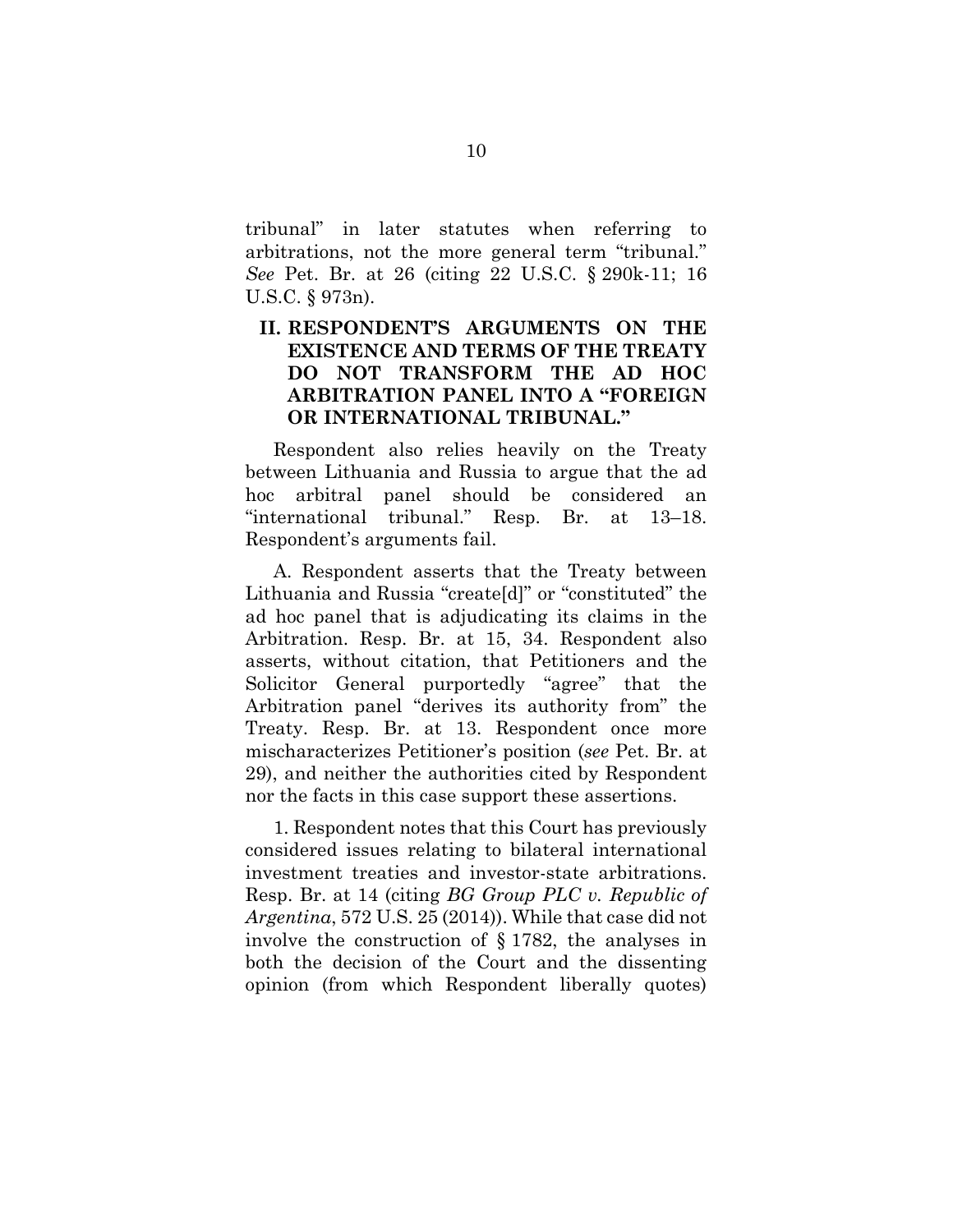tribunal" in later statutes when referring to arbitrations, not the more general term "tribunal." *See* Pet. Br. at 26 (citing 22 U.S.C. § 290k-11; 16 U.S.C. § 973n).

## <span id="page-15-1"></span><span id="page-15-0"></span>**II. RESPONDENT'S ARGUMENTS ON THE EXISTENCE AND TERMS OF THE TREATY DO NOT TRANSFORM THE AD HOC ARBITRATION PANEL INTO A "FOREIGN OR INTERNATIONAL TRIBUNAL."**

Respondent also relies heavily on the Treaty between Lithuania and Russia to argue that the ad hoc arbitral panel should be considered an "international tribunal." Resp. Br. at 13–18. Respondent's arguments fail.

A. Respondent asserts that the Treaty between Lithuania and Russia "create[d]" or "constituted" the ad hoc panel that is adjudicating its claims in the Arbitration. Resp. Br. at 15, 34. Respondent also asserts, without citation, that Petitioners and the Solicitor General purportedly "agree" that the Arbitration panel "derives its authority from" the Treaty. Resp. Br. at 13. Respondent once more mischaracterizes Petitioner's position (*see* Pet. Br. at 29), and neither the authorities cited by Respondent nor the facts in this case support these assertions.

1. Respondent notes that this Court has previously considered issues relating to bilateral international investment treaties and investor-state arbitrations. Resp. Br. at 14 (citing *BG Group PLC v. Republic of Argentina*, 572 U.S. 25 (2014)). While that case did not involve the construction of § 1782, the analyses in both the decision of the Court and the dissenting opinion (from which Respondent liberally quotes)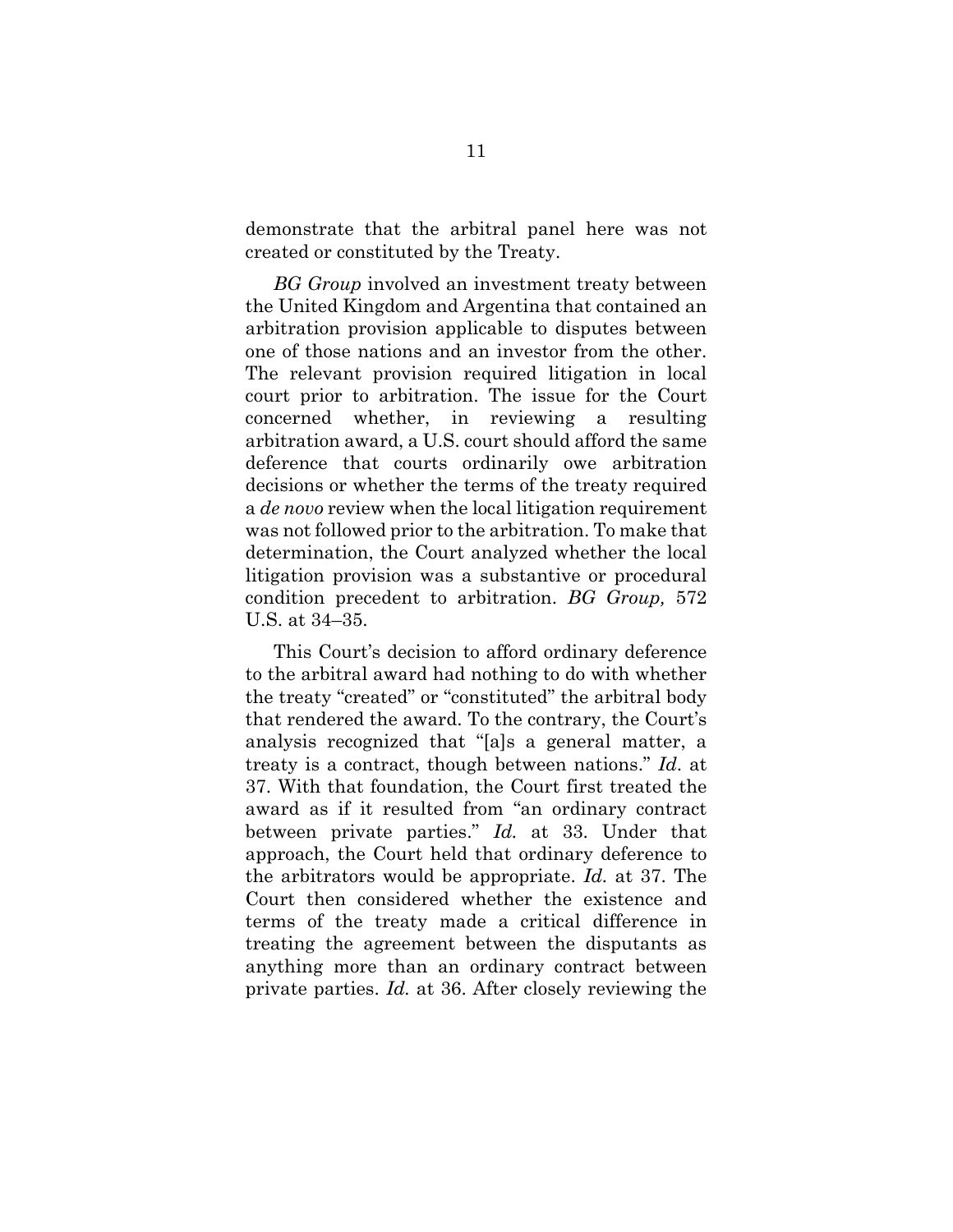demonstrate that the arbitral panel here was not created or constituted by the Treaty.

<span id="page-16-0"></span>*BG Group* involved an investment treaty between the United Kingdom and Argentina that contained an arbitration provision applicable to disputes between one of those nations and an investor from the other. The relevant provision required litigation in local court prior to arbitration. The issue for the Court concerned whether, in reviewing a resulting arbitration award, a U.S. court should afford the same deference that courts ordinarily owe arbitration decisions or whether the terms of the treaty required a *de novo* review when the local litigation requirement was not followed prior to the arbitration. To make that determination, the Court analyzed whether the local litigation provision was a substantive or procedural condition precedent to arbitration. *BG Group,* 572 U.S. at 34–35.

<span id="page-16-1"></span>This Court's decision to afford ordinary deference to the arbitral award had nothing to do with whether the treaty "created" or "constituted" the arbitral body that rendered the award. To the contrary, the Court's analysis recognized that "[a]s a general matter, a treaty is a contract, though between nations." *Id*. at 37. With that foundation, the Court first treated the award as if it resulted from "an ordinary contract between private parties." *Id.* at 33. Under that approach, the Court held that ordinary deference to the arbitrators would be appropriate. *Id.* at 37. The Court then considered whether the existence and terms of the treaty made a critical difference in treating the agreement between the disputants as anything more than an ordinary contract between private parties. *Id.* at 36. After closely reviewing the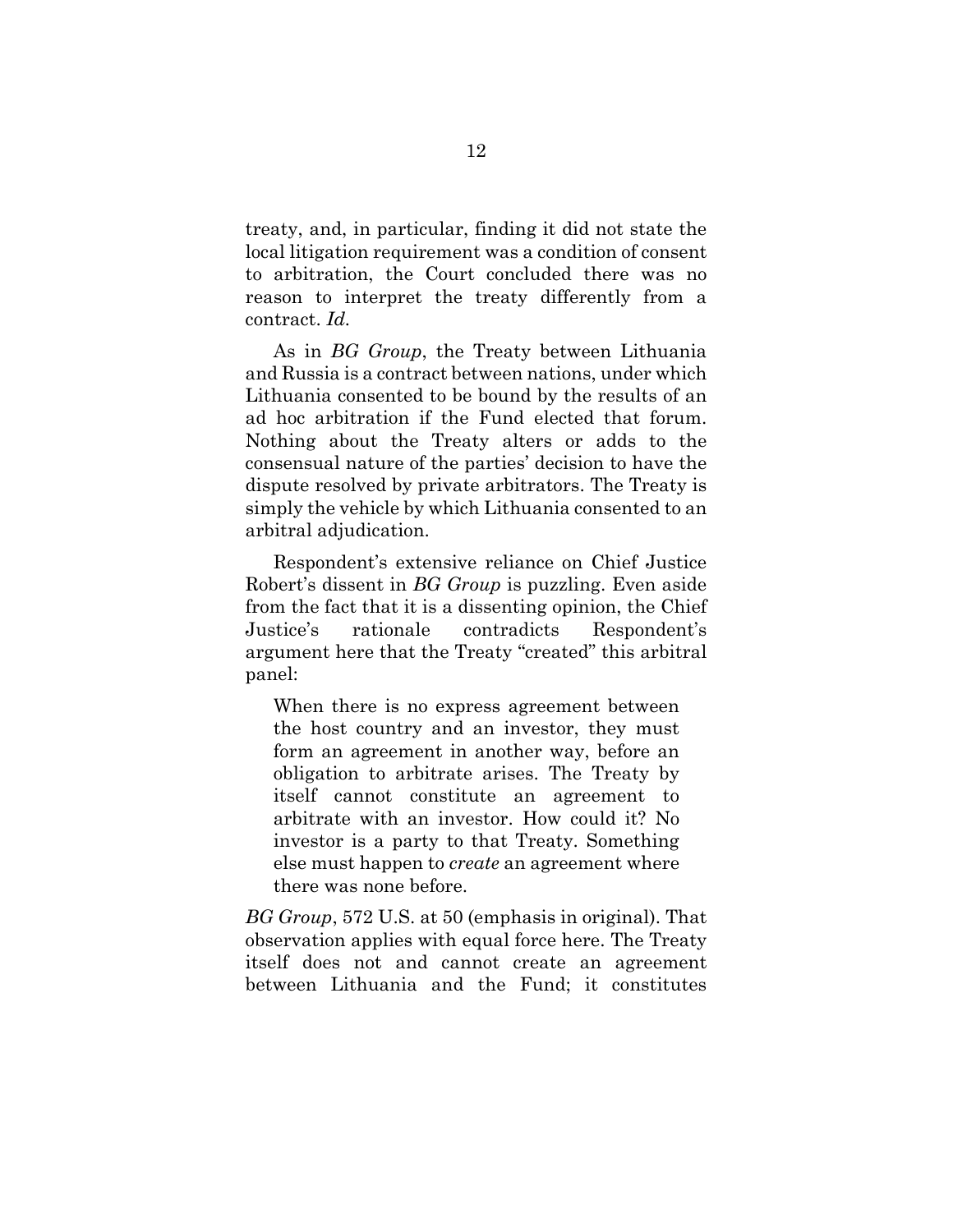treaty, and, in particular, finding it did not state the local litigation requirement was a condition of consent to arbitration, the Court concluded there was no reason to interpret the treaty differently from a contract. *Id.*

As in *BG Group*, the Treaty between Lithuania and Russia is a contract between nations, under which Lithuania consented to be bound by the results of an ad hoc arbitration if the Fund elected that forum. Nothing about the Treaty alters or adds to the consensual nature of the parties' decision to have the dispute resolved by private arbitrators. The Treaty is simply the vehicle by which Lithuania consented to an arbitral adjudication.

<span id="page-17-0"></span>Respondent's extensive reliance on Chief Justice Robert's dissent in *BG Group* is puzzling. Even aside from the fact that it is a dissenting opinion, the Chief Justice's rationale contradicts Respondent's argument here that the Treaty "created" this arbitral panel:

When there is no express agreement between the host country and an investor, they must form an agreement in another way, before an obligation to arbitrate arises. The Treaty by itself cannot constitute an agreement to arbitrate with an investor. How could it? No investor is a party to that Treaty. Something else must happen to *create* an agreement where there was none before.

*BG Group*, 572 U.S. at 50 (emphasis in original). That observation applies with equal force here. The Treaty itself does not and cannot create an agreement between Lithuania and the Fund; it constitutes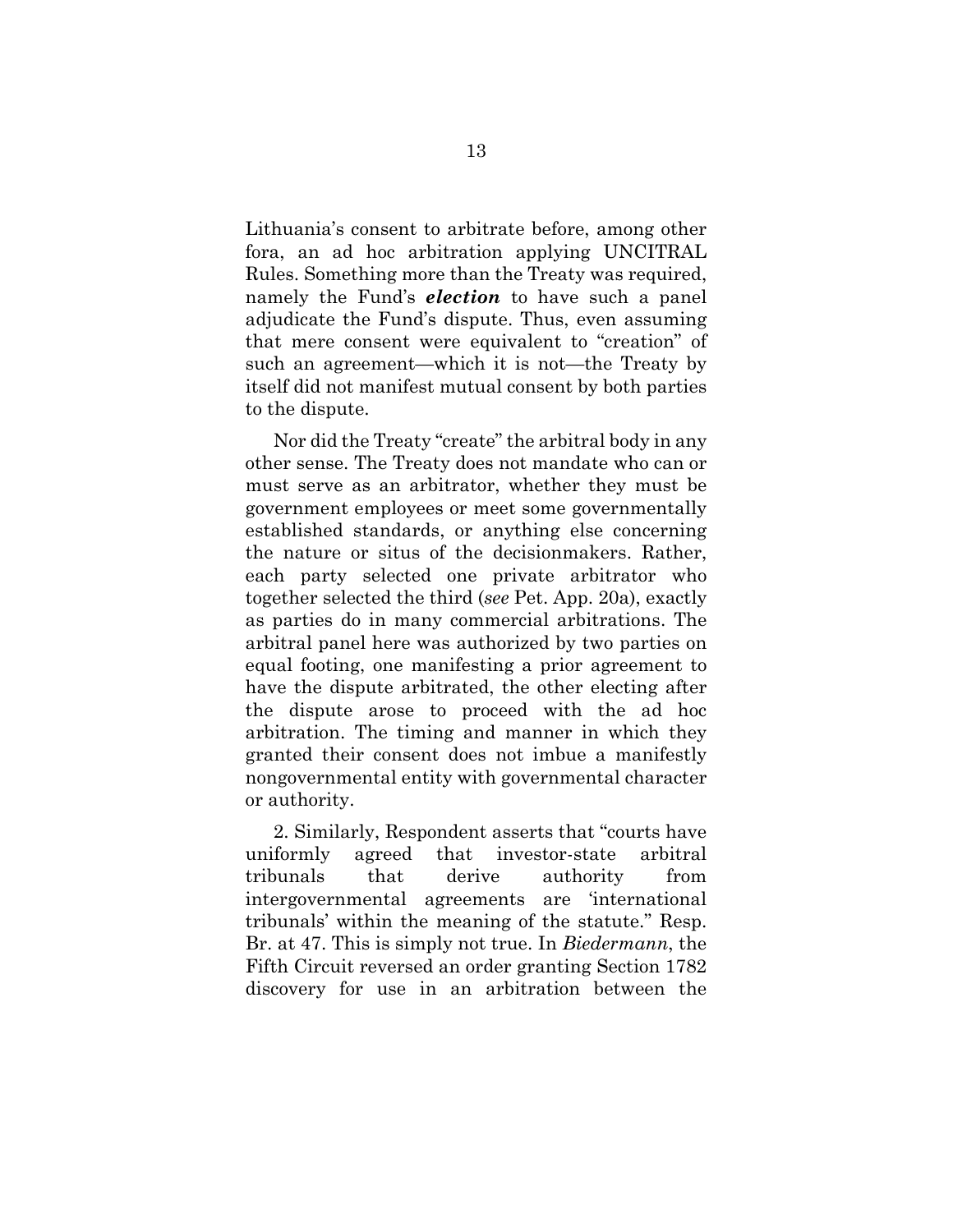Lithuania's consent to arbitrate before, among other fora, an ad hoc arbitration applying UNCITRAL Rules. Something more than the Treaty was required, namely the Fund's *election* to have such a panel adjudicate the Fund's dispute. Thus, even assuming that mere consent were equivalent to "creation" of such an agreement—which it is not—the Treaty by itself did not manifest mutual consent by both parties to the dispute.

Nor did the Treaty "create" the arbitral body in any other sense. The Treaty does not mandate who can or must serve as an arbitrator, whether they must be government employees or meet some governmentally established standards, or anything else concerning the nature or situs of the decisionmakers. Rather, each party selected one private arbitrator who together selected the third (*see* Pet. App. 20a), exactly as parties do in many commercial arbitrations. The arbitral panel here was authorized by two parties on equal footing, one manifesting a prior agreement to have the dispute arbitrated, the other electing after the dispute arose to proceed with the ad hoc arbitration. The timing and manner in which they granted their consent does not imbue a manifestly nongovernmental entity with governmental character or authority.

<span id="page-18-0"></span>2. Similarly, Respondent asserts that "courts have uniformly agreed that investor-state arbitral tribunals that derive authority from intergovernmental agreements are 'international tribunals' within the meaning of the statute." Resp. Br. at 47. This is simply not true. In *Biedermann*, the Fifth Circuit reversed an order granting Section 1782 discovery for use in an arbitration between the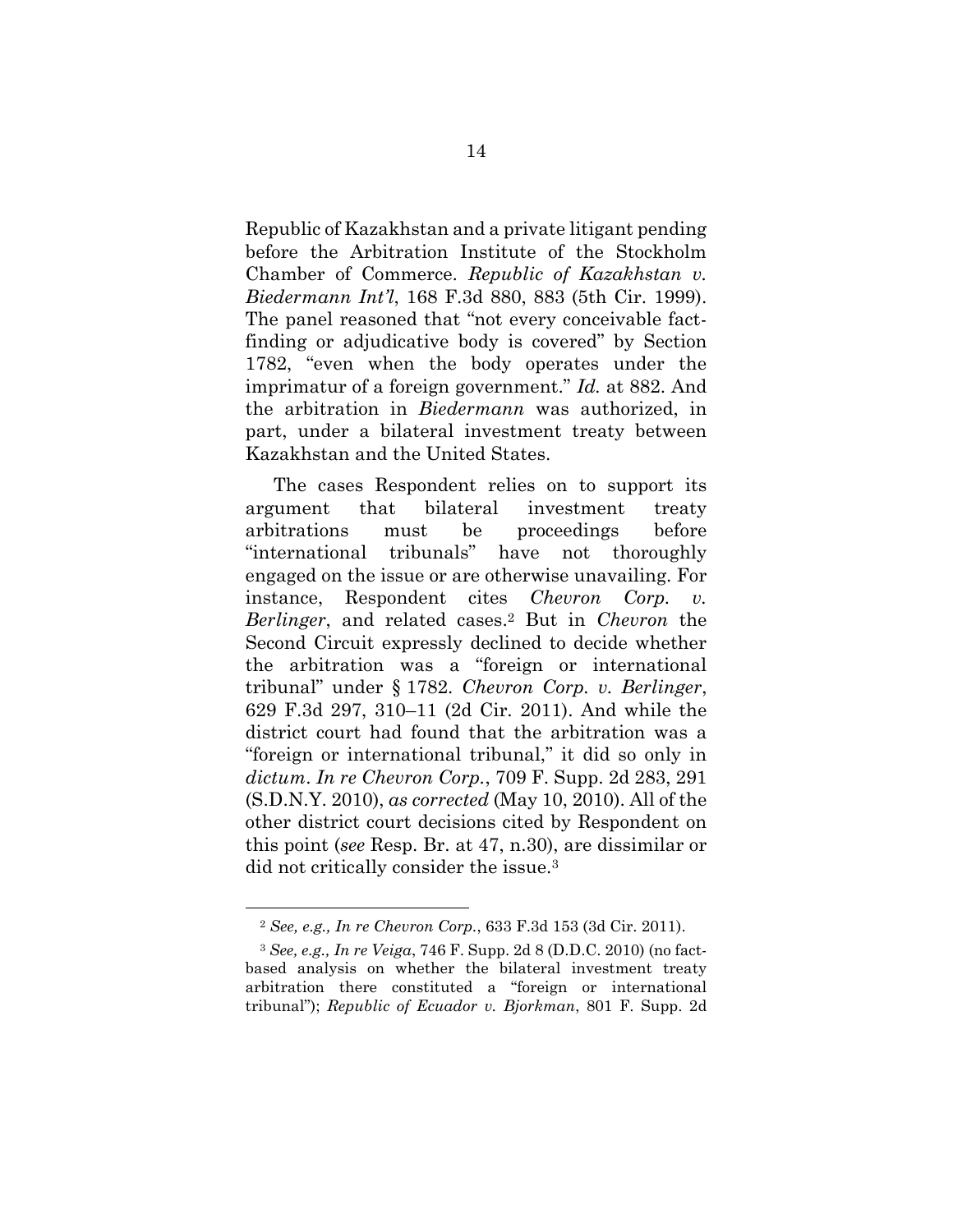Republic of Kazakhstan and a private litigant pending before the Arbitration Institute of the Stockholm Chamber of Commerce. *Republic of Kazakhstan v. Biedermann Int'l*, 168 F.3d 880, 883 (5th Cir. 1999). The panel reasoned that "not every conceivable factfinding or adjudicative body is covered" by Section 1782, "even when the body operates under the imprimatur of a foreign government." *Id.* at 882. And the arbitration in *Biedermann* was authorized, in part, under a bilateral investment treaty between Kazakhstan and the United States.

<span id="page-19-2"></span>The cases Respondent relies on to support its argument that bilateral investment treaty arbitrations must be proceedings before "international tribunals" have not thoroughly engaged on the issue or are otherwise unavailing. For instance, Respondent cites *Chevron Corp. v. Berlinger*, and related cases.<sup>2</sup> But in *Chevron* the Second Circuit expressly declined to decide whether the arbitration was a "foreign or international tribunal" under § 1782. *Chevron Corp. v. Berlinger*, 629 F.3d 297, 310–11 (2d Cir. 2011). And while the district court had found that the arbitration was a "foreign or international tribunal," it did so only in *dictum*. *In re Chevron Corp.*, 709 F. Supp. 2d 283, 291 (S.D.N.Y. 2010), *as corrected* (May 10, 2010). All of the other district court decisions cited by Respondent on this point (*see* Resp. Br. at 47, n.30), are dissimilar or did not critically consider the issue.<sup>3</sup>

<span id="page-19-4"></span><span id="page-19-1"></span><span id="page-19-0"></span><sup>2</sup> *See, e.g., In re Chevron Corp.*, 633 F.3d 153 (3d Cir. 2011).

<span id="page-19-3"></span><sup>3</sup> *See, e.g., In re Veiga*, 746 F. Supp. 2d 8 (D.D.C. 2010) (no factbased analysis on whether the bilateral investment treaty arbitration there constituted a "foreign or international tribunal"); *Republic of Ecuador v. Bjorkman*, 801 F. Supp. 2d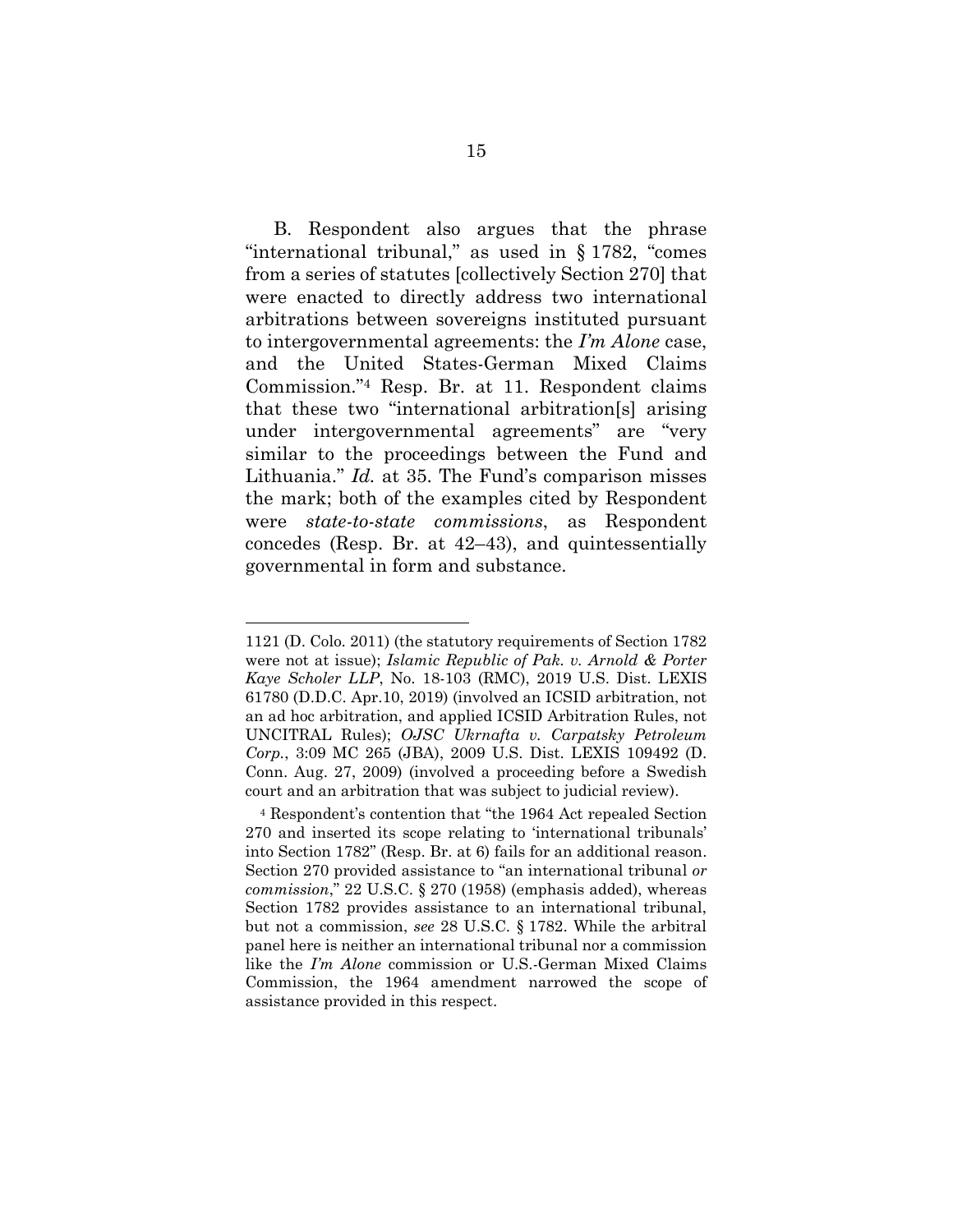<span id="page-20-2"></span>B. Respondent also argues that the phrase "international tribunal," as used in § 1782, "comes from a series of statutes [collectively Section 270] that were enacted to directly address two international arbitrations between sovereigns instituted pursuant to intergovernmental agreements: the *I'm Alone* case, and the United States-German Mixed Claims Commission."<sup>4</sup> Resp. Br. at 11. Respondent claims that these two "international arbitration[s] arising under intergovernmental agreements" are "very similar to the proceedings between the Fund and Lithuania." *Id.* at 35. The Fund's comparison misses the mark; both of the examples cited by Respondent were *state-to-state commissions*, as Respondent concedes (Resp. Br. at 42–43), and quintessentially governmental in form and substance.

<span id="page-20-0"></span><sup>1121 (</sup>D. Colo. 2011) (the statutory requirements of Section 1782 were not at issue); *Islamic Republic of Pak. v. Arnold & Porter Kaye Scholer LLP*, No. 18-103 (RMC), 2019 U.S. Dist. LEXIS 61780 (D.D.C. Apr.10, 2019) (involved an ICSID arbitration, not an ad hoc arbitration, and applied ICSID Arbitration Rules, not UNCITRAL Rules); *OJSC Ukrnafta v. Carpatsky Petroleum Corp.*, 3:09 MC 265 (JBA), 2009 U.S. Dist. LEXIS 109492 (D. Conn. Aug. 27, 2009) (involved a proceeding before a Swedish court and an arbitration that was subject to judicial review).

<span id="page-20-1"></span><sup>4</sup> Respondent's contention that "the 1964 Act repealed Section 270 and inserted its scope relating to 'international tribunals' into Section 1782" (Resp. Br. at 6) fails for an additional reason. Section 270 provided assistance to "an international tribunal *or commission*," 22 U.S.C. § 270 (1958) (emphasis added), whereas Section 1782 provides assistance to an international tribunal, but not a commission, *see* 28 U.S.C. § 1782. While the arbitral panel here is neither an international tribunal nor a commission like the *I'm Alone* commission or U.S.-German Mixed Claims Commission, the 1964 amendment narrowed the scope of assistance provided in this respect.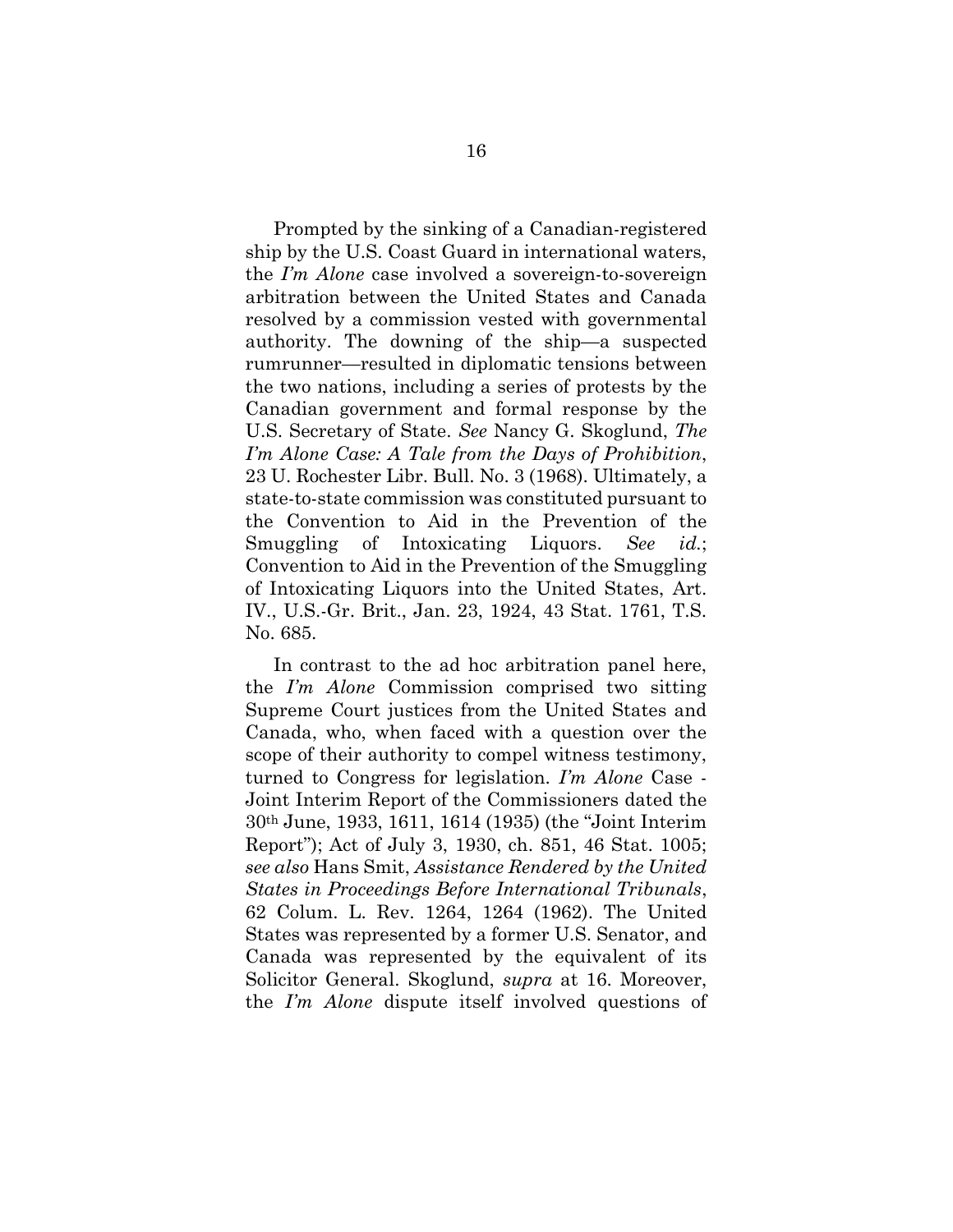<span id="page-21-2"></span>Prompted by the sinking of a Canadian-registered ship by the U.S. Coast Guard in international waters, the *I'm Alone* case involved a sovereign-to-sovereign arbitration between the United States and Canada resolved by a commission vested with governmental authority. The downing of the ship—a suspected rumrunner—resulted in diplomatic tensions between the two nations, including a series of protests by the Canadian government and formal response by the U.S. Secretary of State. *See* Nancy G. Skoglund, *The I'm Alone Case: A Tale from the Days of Prohibition*, 23 U. Rochester Libr. Bull. No. 3 (1968). Ultimately, a state-to-state commission was constituted pursuant to the Convention to Aid in the Prevention of the Smuggling of Intoxicating Liquors. *See id.*; Convention to Aid in the Prevention of the Smuggling of Intoxicating Liquors into the United States, Art. IV., U.S.-Gr. Brit., Jan. 23, 1924, 43 Stat. 1761, T.S. No. 685.

<span id="page-21-3"></span><span id="page-21-1"></span><span id="page-21-0"></span>In contrast to the ad hoc arbitration panel here, the *I'm Alone* Commission comprised two sitting Supreme Court justices from the United States and Canada, who, when faced with a question over the scope of their authority to compel witness testimony, turned to Congress for legislation. *I'm Alone* Case - Joint Interim Report of the Commissioners dated the 30th June, 1933, 1611, 1614 (1935) (the "Joint Interim Report"); Act of July 3, 1930, ch. 851, 46 Stat. 1005; *see also* Hans Smit, *Assistance Rendered by the United States in Proceedings Before International Tribunals*, 62 Colum. L. Rev. 1264, 1264 (1962). The United States was represented by a former U.S. Senator, and Canada was represented by the equivalent of its Solicitor General. Skoglund, *supra* at 16. Moreover, the *I'm Alone* dispute itself involved questions of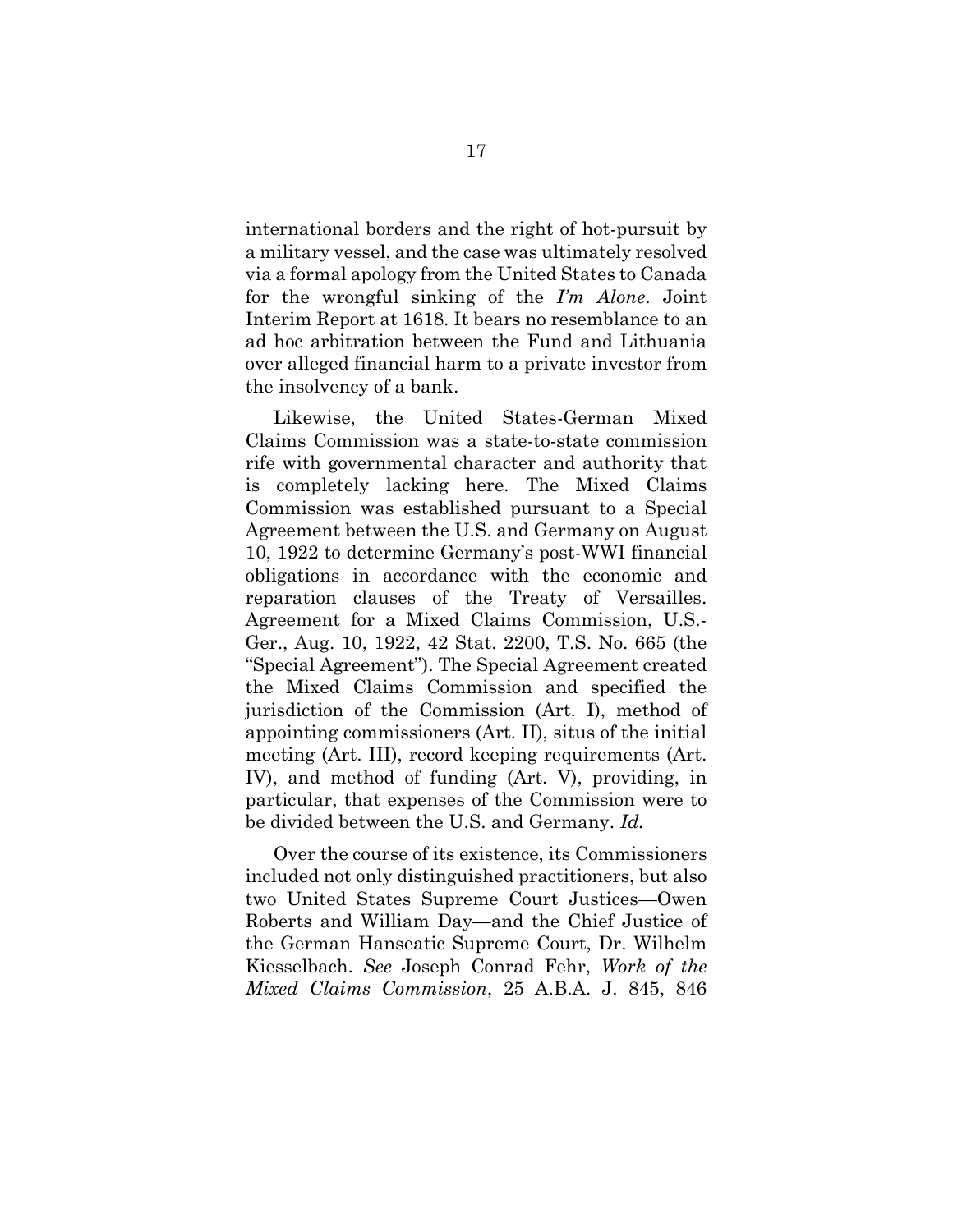international borders and the right of hot-pursuit by a military vessel, and the case was ultimately resolved via a formal apology from the United States to Canada for the wrongful sinking of the *I'm Alone*. Joint Interim Report at 1618. It bears no resemblance to an ad hoc arbitration between the Fund and Lithuania over alleged financial harm to a private investor from the insolvency of a bank.

Likewise, the United States-German Mixed Claims Commission was a state-to-state commission rife with governmental character and authority that is completely lacking here. The Mixed Claims Commission was established pursuant to a Special Agreement between the U.S. and Germany on August 10, 1922 to determine Germany's post-WWI financial obligations in accordance with the economic and reparation clauses of the Treaty of Versailles. Agreement for a Mixed Claims Commission, U.S.- Ger., Aug. 10, 1922, 42 Stat. 2200, T.S. No. 665 (the "Special Agreement"). The Special Agreement created the Mixed Claims Commission and specified the jurisdiction of the Commission (Art. I), method of appointing commissioners (Art. II), situs of the initial meeting (Art. III), record keeping requirements (Art. IV), and method of funding (Art. V), providing, in particular, that expenses of the Commission were to be divided between the U.S. and Germany. *Id.*

<span id="page-22-0"></span>Over the course of its existence, its Commissioners included not only distinguished practitioners, but also two United States Supreme Court Justices—Owen Roberts and William Day—and the Chief Justice of the German Hanseatic Supreme Court, Dr. Wilhelm Kiesselbach. *See* Joseph Conrad Fehr, *Work of the Mixed Claims Commission*, 25 A.B.A. J. 845, 846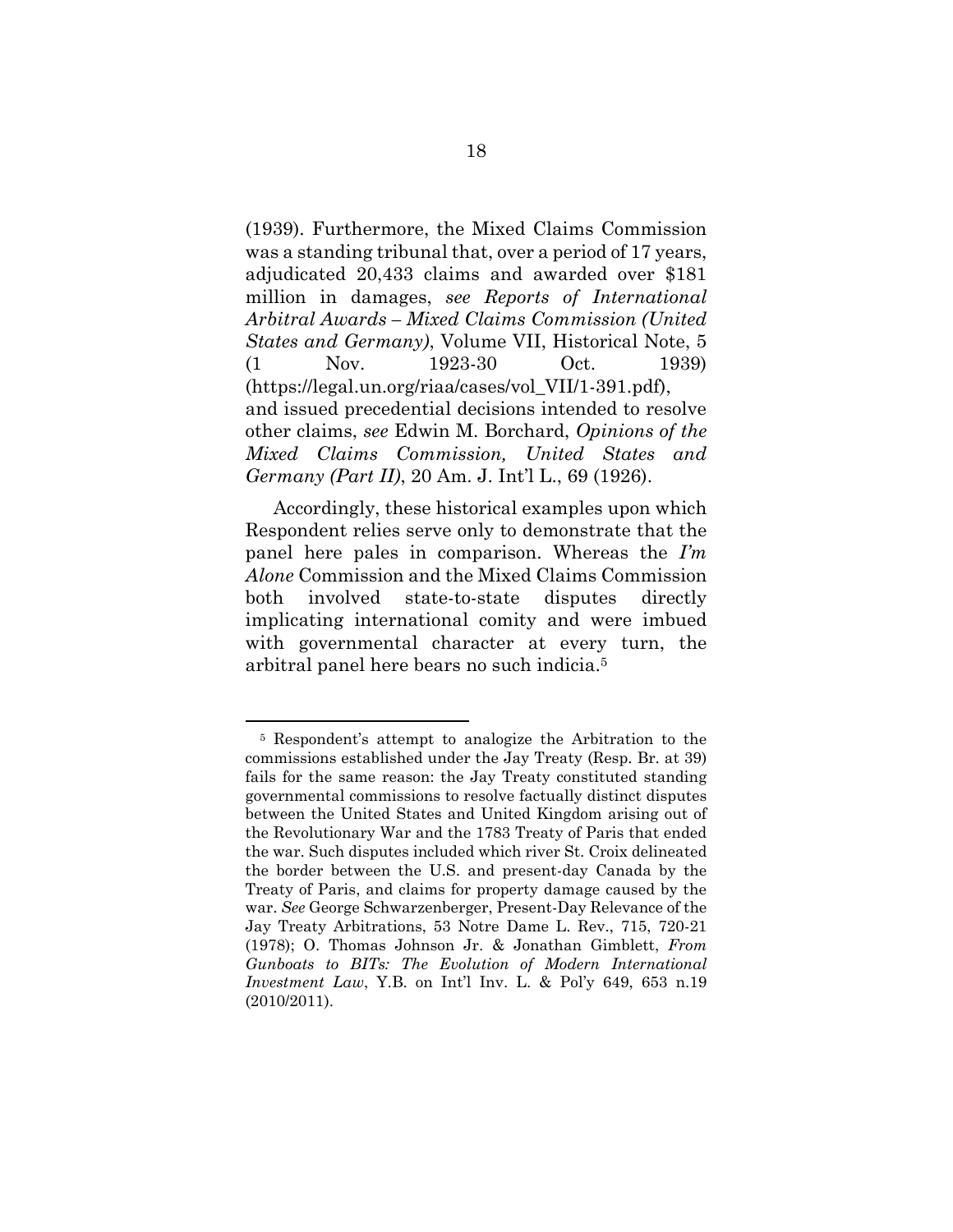<span id="page-23-3"></span>(1939). Furthermore, the Mixed Claims Commission was a standing tribunal that, over a period of 17 years, adjudicated 20,433 claims and awarded over \$181 million in damages, *see Reports of International Arbitral Awards – Mixed Claims Commission (United States and Germany)*, Volume VII, Historical Note, 5 (1 Nov. 1923-30 Oct. 1939) (https://legal.un.org/riaa/cases/vol\_VII/1-391.pdf), and issued precedential decisions intended to resolve other claims, *see* Edwin M. Borchard, *Opinions of the Mixed Claims Commission, United States and Germany (Part II)*, 20 Am. J. Int'l L., 69 (1926).

<span id="page-23-0"></span>Accordingly, these historical examples upon which Respondent relies serve only to demonstrate that the panel here pales in comparison. Whereas the *I'm Alone* Commission and the Mixed Claims Commission both involved state-to-state disputes directly implicating international comity and were imbued with governmental character at every turn, the arbitral panel here bears no such indicia. 5

<span id="page-23-2"></span><span id="page-23-1"></span><sup>5</sup> Respondent's attempt to analogize the Arbitration to the commissions established under the Jay Treaty (Resp. Br. at 39) fails for the same reason: the Jay Treaty constituted standing governmental commissions to resolve factually distinct disputes between the United States and United Kingdom arising out of the Revolutionary War and the 1783 Treaty of Paris that ended the war. Such disputes included which river St. Croix delineated the border between the U.S. and present-day Canada by the Treaty of Paris, and claims for property damage caused by the war. *See* George Schwarzenberger, Present-Day Relevance of the Jay Treaty Arbitrations, 53 Notre Dame L. Rev., 715, 720-21 (1978); O. Thomas Johnson Jr. & Jonathan Gimblett, *From Gunboats to BITs: The Evolution of Modern International Investment Law*, Y.B. on Int'l Inv. L. & Pol'y 649, 653 n.19 (2010/2011).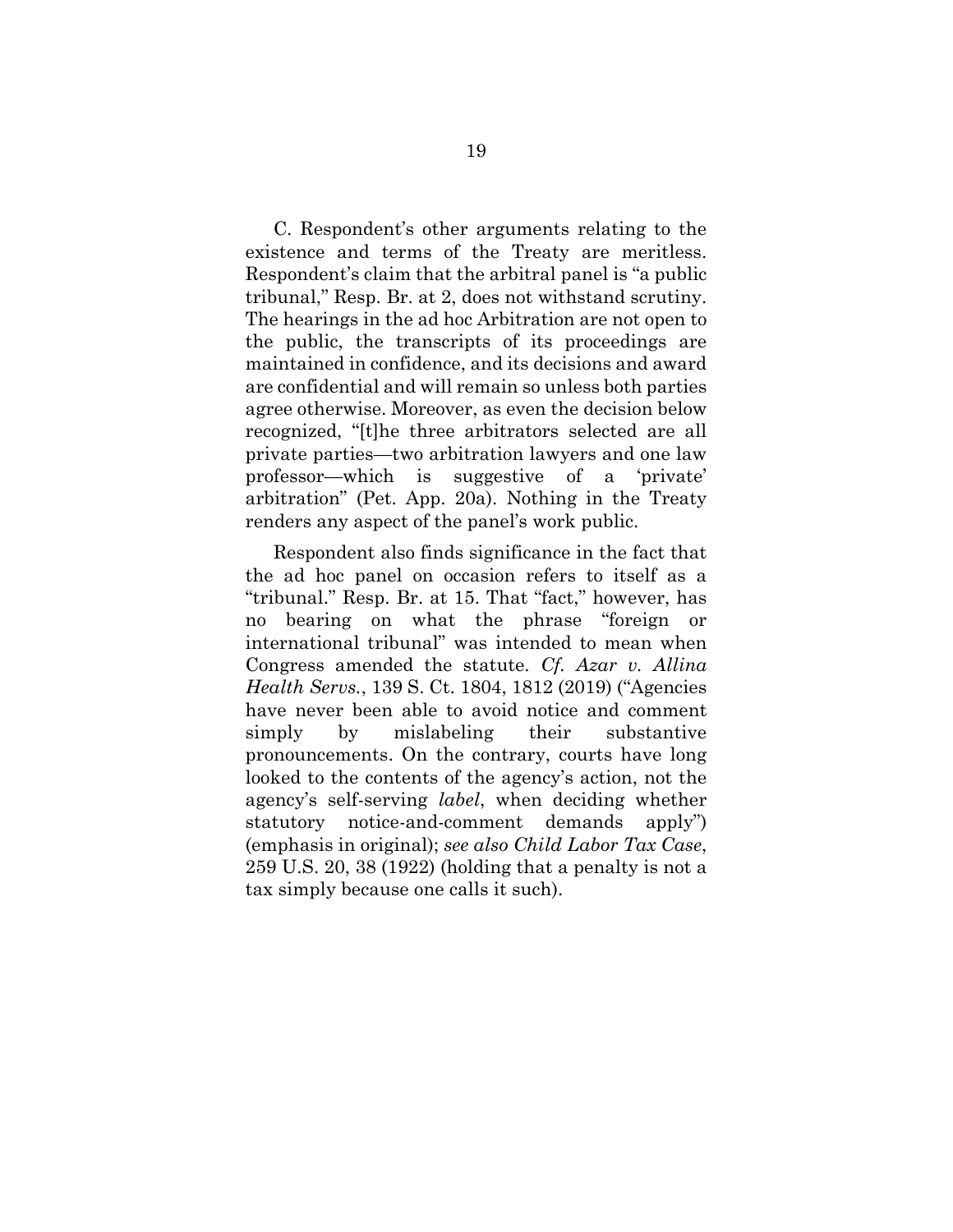C. Respondent's other arguments relating to the existence and terms of the Treaty are meritless. Respondent's claim that the arbitral panel is "a public tribunal," Resp. Br. at 2, does not withstand scrutiny. The hearings in the ad hoc Arbitration are not open to the public, the transcripts of its proceedings are maintained in confidence, and its decisions and award are confidential and will remain so unless both parties agree otherwise. Moreover, as even the decision below recognized, "[t]he three arbitrators selected are all private parties—two arbitration lawyers and one law professor—which is suggestive of a 'private' arbitration" (Pet. App. 20a). Nothing in the Treaty renders any aspect of the panel's work public.

Respondent also finds significance in the fact that the ad hoc panel on occasion refers to itself as a "tribunal." Resp. Br. at 15. That "fact," however, has no bearing on what the phrase "foreign or international tribunal" was intended to mean when Congress amended the statute. *Cf. Azar v. Allina Health Servs.*, 139 S. Ct. 1804, 1812 (2019) ("Agencies have never been able to avoid notice and comment simply by mislabeling their substantive pronouncements. On the contrary, courts have long looked to the contents of the agency's action, not the agency's self-serving *label*, when deciding whether statutory notice-and-comment demands apply") (emphasis in original); *see also Child Labor Tax Case*, 259 U.S. 20, 38 (1922) (holding that a penalty is not a tax simply because one calls it such).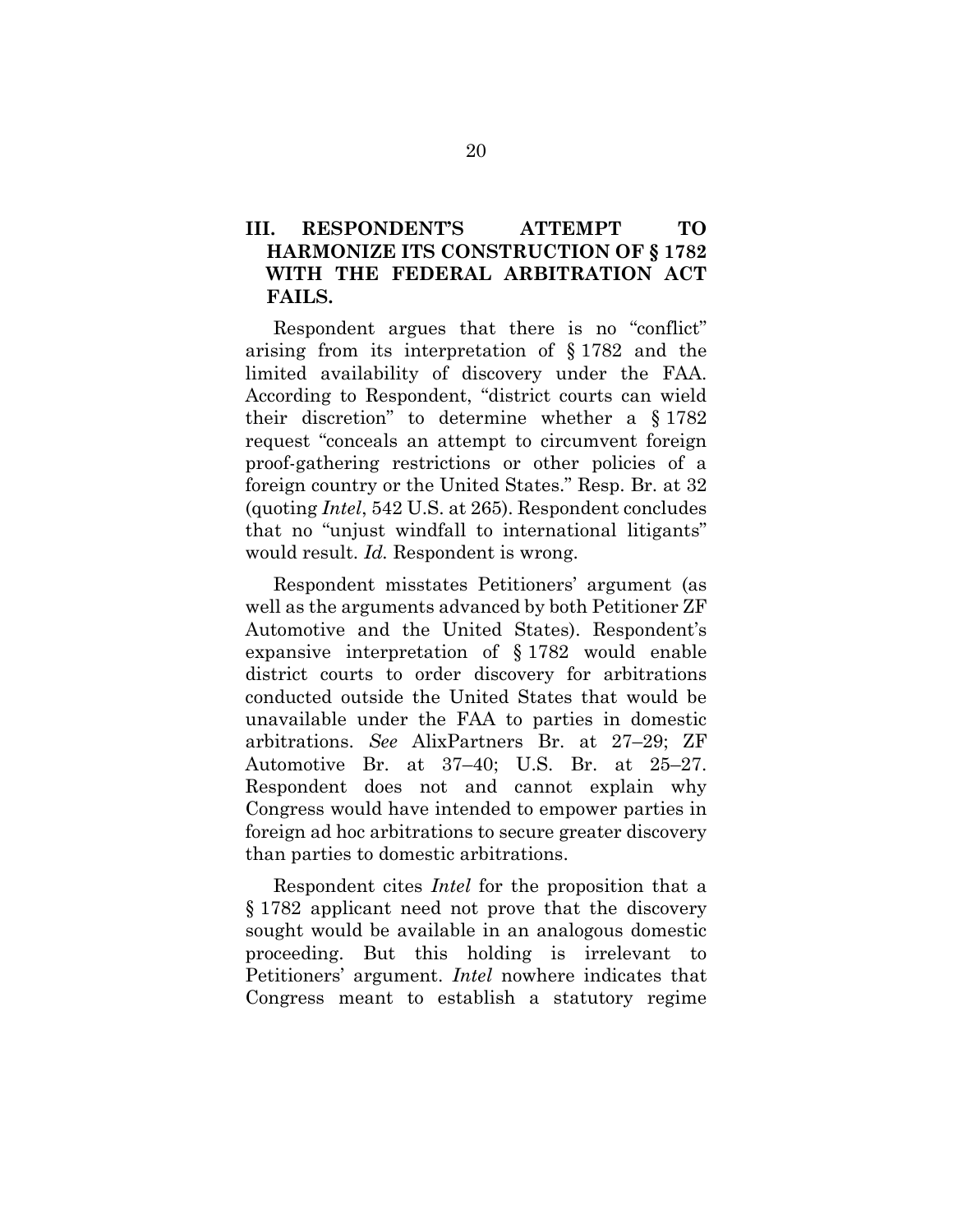## <span id="page-25-0"></span>**III. RESPONDENT'S ATTEMPT TO HARMONIZE ITS CONSTRUCTION OF § 1782 WITH THE FEDERAL ARBITRATION ACT FAILS.**

Respondent argues that there is no "conflict" arising from its interpretation of § 1782 and the limited availability of discovery under the FAA. According to Respondent, "district courts can wield their discretion" to determine whether a § 1782 request "conceals an attempt to circumvent foreign proof-gathering restrictions or other policies of a foreign country or the United States." Resp. Br. at 32 (quoting *Intel*, 542 U.S. at 265). Respondent concludes that no "unjust windfall to international litigants" would result. *Id.* Respondent is wrong.

Respondent misstates Petitioners' argument (as well as the arguments advanced by both Petitioner ZF Automotive and the United States). Respondent's expansive interpretation of § 1782 would enable district courts to order discovery for arbitrations conducted outside the United States that would be unavailable under the FAA to parties in domestic arbitrations. *See* AlixPartners Br. at 27–29; ZF Automotive Br. at 37–40; U.S. Br. at 25–27. Respondent does not and cannot explain why Congress would have intended to empower parties in foreign ad hoc arbitrations to secure greater discovery than parties to domestic arbitrations.

Respondent cites *Intel* for the proposition that a § 1782 applicant need not prove that the discovery sought would be available in an analogous domestic proceeding. But this holding is irrelevant to Petitioners' argument. *Intel* nowhere indicates that Congress meant to establish a statutory regime